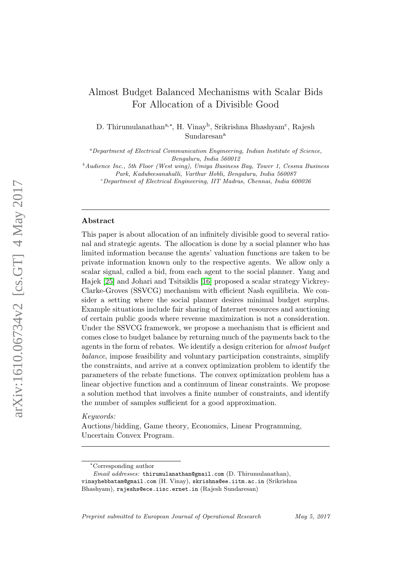# Almost Budget Balanced Mechanisms with Scalar Bids For Allocation of a Divisible Good

D. Thirumulanathan<sup>a,∗</sup>, H. Vinay<sup>b</sup>, Srikrishna Bhashyam<sup>c</sup>, Rajesh Sundaresan<sup>a</sup>

<sup>a</sup>Department of Electrical Communication Engineering, Indian Institute of Science, Bengaluru, India 560012

 $^{b}$ Audience Inc., 5th Floor (West wing), Umiya Business Bay, Tower 1, Cessna Business Park, Kadubeesanahalli, Varthur Hobli, Bengaluru, India 560087

 $c$ Department of Electrical Engineering, IIT Madras, Chennai, India 600036

# Abstract

This paper is about allocation of an infinitely divisible good to several rational and strategic agents. The allocation is done by a social planner who has limited information because the agents' valuation functions are taken to be private information known only to the respective agents. We allow only a scalar signal, called a bid, from each agent to the social planner. Yang and Hajek [\[25\]](#page-29-0) and Johari and Tsitsiklis [\[16\]](#page-29-1) proposed a scalar strategy Vickrey-Clarke-Groves (SSVCG) mechanism with efficient Nash equilibria. We consider a setting where the social planner desires minimal budget surplus. Example situations include fair sharing of Internet resources and auctioning of certain public goods where revenue maximization is not a consideration. Under the SSVCG framework, we propose a mechanism that is efficient and comes close to budget balance by returning much of the payments back to the agents in the form of rebates. We identify a design criterion for almost budget balance, impose feasibility and voluntary participation constraints, simplify the constraints, and arrive at a convex optimization problem to identify the parameters of the rebate functions. The convex optimization problem has a linear objective function and a continuum of linear constraints. We propose a solution method that involves a finite number of constraints, and identify the number of samples sufficient for a good approximation.

#### Keywords:

Auctions/bidding, Game theory, Economics, Linear Programming, Uncertain Convex Program.

Preprint submitted to European Journal of Operational Research May 5, 2017

<sup>∗</sup>Corresponding author

 $Email \text{ addresses: thirumulanathan@gmail.com}$  (D. Thirumulanathan), vinayhebbatam@gmail.com (H. Vinay), skrishna@ee.iitm.ac.in (Srikrishna Bhashyam), rajeshs@ece.iisc.ernet.in (Rajesh Sundaresan)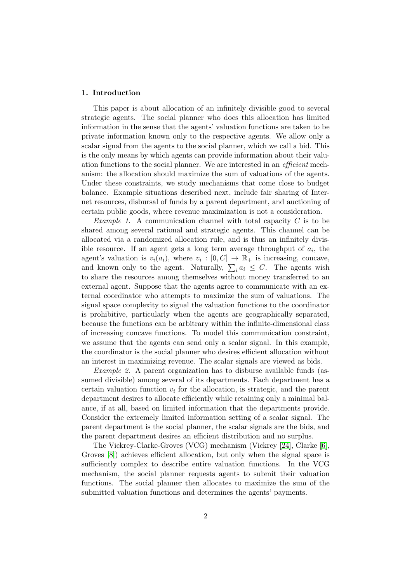#### 1. Introduction

This paper is about allocation of an infinitely divisible good to several strategic agents. The social planner who does this allocation has limited information in the sense that the agents' valuation functions are taken to be private information known only to the respective agents. We allow only a scalar signal from the agents to the social planner, which we call a bid. This is the only means by which agents can provide information about their valuation functions to the social planner. We are interested in an efficient mechanism: the allocation should maximize the sum of valuations of the agents. Under these constraints, we study mechanisms that come close to budget balance. Example situations described next, include fair sharing of Internet resources, disbursal of funds by a parent department, and auctioning of certain public goods, where revenue maximization is not a consideration.

*Example 1.* A communication channel with total capacity  $C$  is to be shared among several rational and strategic agents. This channel can be allocated via a randomized allocation rule, and is thus an infinitely divisible resource. If an agent gets a long term average throughput of  $a_i$ , the agent's valuation is  $v_i(a_i)$ , where  $v_i : [0, C] \rightarrow \mathbb{R}_+$  is increasing, concave, and known only to the agent. Naturally,  $\sum_i a_i \leq C$ . The agents wish to share the resources among themselves without money transferred to an external agent. Suppose that the agents agree to communicate with an external coordinator who attempts to maximize the sum of valuations. The signal space complexity to signal the valuation functions to the coordinator is prohibitive, particularly when the agents are geographically separated, because the functions can be arbitrary within the infinite-dimensional class of increasing concave functions. To model this communication constraint, we assume that the agents can send only a scalar signal. In this example, the coordinator is the social planner who desires efficient allocation without an interest in maximizing revenue. The scalar signals are viewed as bids.

Example 2. A parent organization has to disburse available funds (assumed divisible) among several of its departments. Each department has a certain valuation function  $v_i$  for the allocation, is strategic, and the parent department desires to allocate efficiently while retaining only a minimal balance, if at all, based on limited information that the departments provide. Consider the extremely limited information setting of a scalar signal. The parent department is the social planner, the scalar signals are the bids, and the parent department desires an efficient distribution and no surplus.

The Vickrey-Clarke-Groves (VCG) mechanism (Vickrey [\[24\]](#page-29-2), Clarke [\[6\]](#page-28-0), Groves [\[8\]](#page-28-1)) achieves efficient allocation, but only when the signal space is sufficiently complex to describe entire valuation functions. In the VCG mechanism, the social planner requests agents to submit their valuation functions. The social planner then allocates to maximize the sum of the submitted valuation functions and determines the agents' payments.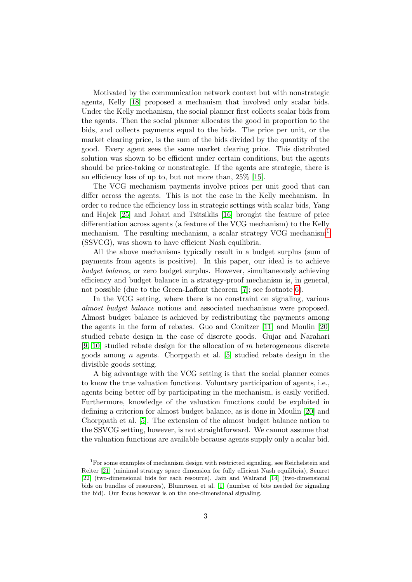Motivated by the communication network context but with nonstrategic agents, Kelly [\[18\]](#page-29-3) proposed a mechanism that involved only scalar bids. Under the Kelly mechanism, the social planner first collects scalar bids from the agents. Then the social planner allocates the good in proportion to the bids, and collects payments equal to the bids. The price per unit, or the market clearing price, is the sum of the bids divided by the quantity of the good. Every agent sees the same market clearing price. This distributed solution was shown to be efficient under certain conditions, but the agents should be price-taking or nonstrategic. If the agents are strategic, there is an efficiency loss of up to, but not more than, 25% [\[15\]](#page-29-4).

The VCG mechanism payments involve prices per unit good that can differ across the agents. This is not the case in the Kelly mechanism. In order to reduce the efficiency loss in strategic settings with scalar bids, Yang and Hajek [\[25\]](#page-29-0) and Johari and Tsitsiklis [\[16\]](#page-29-1) brought the feature of price differentiation across agents (a feature of the VCG mechanism) to the Kelly mechanism. The resulting mechanism, a scalar strategy VCG mechanism<sup>[1](#page-2-0)</sup> (SSVCG), was shown to have efficient Nash equilibria.

All the above mechanisms typically result in a budget surplus (sum of payments from agents is positive). In this paper, our ideal is to achieve budget balance, or zero budget surplus. However, simultaneously achieving efficiency and budget balance in a strategy-proof mechanism is, in general, not possible (due to the Green-Laffont theorem [\[7\]](#page-28-2); see footnote [6\)](#page-6-0).

In the VCG setting, where there is no constraint on signaling, various almost budget balance notions and associated mechanisms were proposed. Almost budget balance is achieved by redistributing the payments among the agents in the form of rebates. Guo and Conitzer [\[11\]](#page-28-3) and Moulin [\[20\]](#page-29-5) studied rebate design in the case of discrete goods. Gujar and Narahari  $[9, 10]$  $[9, 10]$  studied rebate design for the allocation of m heterogeneous discrete goods among *n* agents. Chorppath et al. [\[5\]](#page-28-6) studied rebate design in the divisible goods setting.

A big advantage with the VCG setting is that the social planner comes to know the true valuation functions. Voluntary participation of agents, i.e., agents being better off by participating in the mechanism, is easily verified. Furthermore, knowledge of the valuation functions could be exploited in defining a criterion for almost budget balance, as is done in Moulin [\[20\]](#page-29-5) and Chorppath et al. [\[5\]](#page-28-6). The extension of the almost budget balance notion to the SSVCG setting, however, is not straightforward. We cannot assume that the valuation functions are available because agents supply only a scalar bid.

<span id="page-2-0"></span><sup>&</sup>lt;sup>1</sup>For some examples of mechanism design with restricted signaling, see Reichelstein and Reiter [\[21\]](#page-29-6) (minimal strategy space dimension for fully efficient Nash equilibria), Semret [\[22\]](#page-29-7) (two-dimensional bids for each resource), Jain and Walrand [\[14\]](#page-29-8) (two-dimensional bids on bundles of resources), Blumrosen et al. [\[1\]](#page-28-7) (number of bits needed for signaling the bid). Our focus however is on the one-dimensional signaling.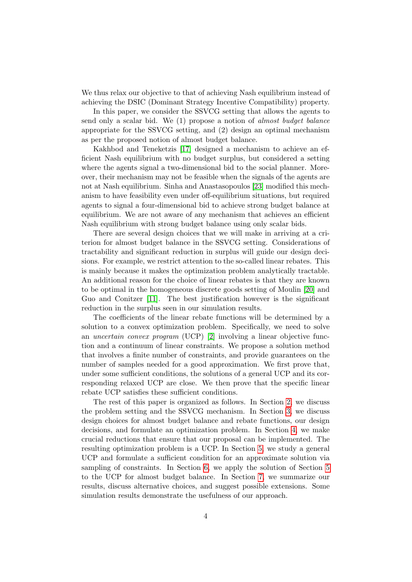We thus relax our objective to that of achieving Nash equilibrium instead of achieving the DSIC (Dominant Strategy Incentive Compatibility) property.

In this paper, we consider the SSVCG setting that allows the agents to send only a scalar bid. We (1) propose a notion of almost budget balance appropriate for the SSVCG setting, and (2) design an optimal mechanism as per the proposed notion of almost budget balance.

Kakhbod and Teneketzis [\[17\]](#page-29-9) designed a mechanism to achieve an efficient Nash equilibrium with no budget surplus, but considered a setting where the agents signal a two-dimensional bid to the social planner. Moreover, their mechanism may not be feasible when the signals of the agents are not at Nash equilibrium. Sinha and Anastasopoulos [\[23\]](#page-29-10) modified this mechanism to have feasibility even under off-equilibrium situations, but required agents to signal a four-dimensional bid to achieve strong budget balance at equilibrium. We are not aware of any mechanism that achieves an efficient Nash equilibrium with strong budget balance using only scalar bids.

There are several design choices that we will make in arriving at a criterion for almost budget balance in the SSVCG setting. Considerations of tractability and significant reduction in surplus will guide our design decisions. For example, we restrict attention to the so-called linear rebates. This is mainly because it makes the optimization problem analytically tractable. An additional reason for the choice of linear rebates is that they are known to be optimal in the homogeneous discrete goods setting of Moulin [\[20\]](#page-29-5) and Guo and Conitzer [\[11\]](#page-28-3). The best justification however is the significant reduction in the surplus seen in our simulation results.

The coefficients of the linear rebate functions will be determined by a solution to a convex optimization problem. Specifically, we need to solve an uncertain convex program (UCP) [\[2\]](#page-28-8) involving a linear objective function and a continuum of linear constraints. We propose a solution method that involves a finite number of constraints, and provide guarantees on the number of samples needed for a good approximation. We first prove that, under some sufficient conditions, the solutions of a general UCP and its corresponding relaxed UCP are close. We then prove that the specific linear rebate UCP satisfies these sufficient conditions.

The rest of this paper is organized as follows. In Section [2,](#page-4-0) we discuss the problem setting and the SSVCG mechanism. In Section [3,](#page-7-0) we discuss design choices for almost budget balance and rebate functions, our design decisions, and formulate an optimization problem. In Section [4,](#page-11-0) we make crucial reductions that ensure that our proposal can be implemented. The resulting optimization problem is a UCP. In Section [5,](#page-14-0) we study a general UCP and formulate a sufficient condition for an approximate solution via sampling of constraints. In Section [6,](#page-16-0) we apply the solution of Section [5](#page-14-0) to the UCP for almost budget balance. In Section [7,](#page-18-0) we summarize our results, discuss alternative choices, and suggest possible extensions. Some simulation results demonstrate the usefulness of our approach.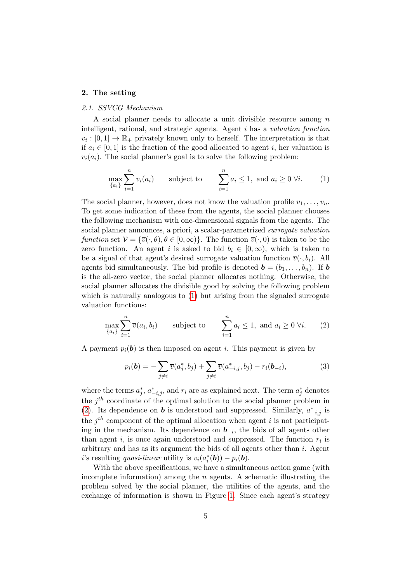## <span id="page-4-0"></span>2. The setting

# 2.1. SSVCG Mechanism

A social planner needs to allocate a unit divisible resource among n intelligent, rational, and strategic agents. Agent i has a valuation function  $v_i: [0,1] \to \mathbb{R}_+$  privately known only to herself. The interpretation is that if  $a_i \in [0, 1]$  is the fraction of the good allocated to agent i, her valuation is  $v_i(a_i)$ . The social planner's goal is to solve the following problem:

<span id="page-4-1"></span>
$$
\max_{\{a_i\}} \sum_{i=1}^n v_i(a_i) \qquad \text{subject to} \qquad \sum_{i=1}^n a_i \le 1, \text{ and } a_i \ge 0 \ \forall i. \tag{1}
$$

The social planner, however, does not know the valuation profile  $v_1, \ldots, v_n$ . To get some indication of these from the agents, the social planner chooses the following mechanism with one-dimensional signals from the agents. The social planner announces, a priori, a scalar-parametrized surrogate valuation function set  $V = {\overline{v}(\cdot,\theta), \theta \in [0,\infty)}$ . The function  $\overline{v}(\cdot,0)$  is taken to be the zero function. An agent i is asked to bid  $b_i \in [0, \infty)$ , which is taken to be a signal of that agent's desired surrogate valuation function  $\overline{v}(\cdot, b_i)$ . All agents bid simultaneously. The bid profile is denoted  $\mathbf{b} = (b_1, \ldots, b_n)$ . If  $\mathbf{b}$ is the all-zero vector, the social planner allocates nothing. Otherwise, the social planner allocates the divisible good by solving the following problem which is naturally analogous to  $(1)$  but arising from the signaled surrogate valuation functions:

<span id="page-4-2"></span>
$$
\max_{\{a_i\}} \sum_{i=1}^n \overline{v}(a_i, b_i) \qquad \text{subject to} \qquad \sum_{i=1}^n a_i \le 1, \text{ and } a_i \ge 0 \ \forall i. \tag{2}
$$

A payment  $p_i(\mathbf{b})$  is then imposed on agent i. This payment is given by

<span id="page-4-3"></span>
$$
p_i(\mathbf{b}) = -\sum_{j \neq i} \overline{v}(a_j^*, b_j) + \sum_{j \neq i} \overline{v}(a_{-i,j}^*, b_j) - r_i(\mathbf{b}_{-i}),
$$
(3)

where the terms  $a_j^*, a_{-i,j}^*,$  and  $r_i$  are as explained next. The term  $a_j^*$  denotes the  $j<sup>th</sup>$  coordinate of the optimal solution to the social planner problem in [\(2\)](#page-4-2). Its dependence on **b** is understood and suppressed. Similarly,  $a_{-i,j}^*$  is the  $j<sup>th</sup>$  component of the optimal allocation when agent i is not participating in the mechanism. Its dependence on  $\mathbf{b}_{-i}$ , the bids of all agents other than agent  $i$ , is once again understood and suppressed. The function  $r_i$  is arbitrary and has as its argument the bids of all agents other than i. Agent *i*'s resulting *quasi-linear* utility is  $v_i(a_i^*(b)) - p_i(b)$ .

With the above specifications, we have a simultaneous action game (with incomplete information) among the  $n$  agents. A schematic illustrating the problem solved by the social planner, the utilities of the agents, and the exchange of information is shown in Figure [1.](#page-5-0) Since each agent's strategy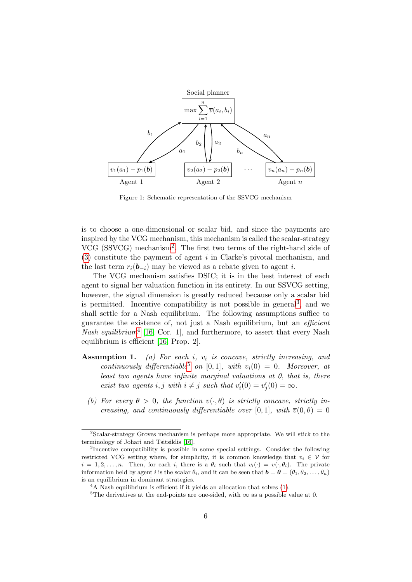<span id="page-5-0"></span>

Figure 1: Schematic representation of the SSVCG mechanism

is to choose a one-dimensional or scalar bid, and since the payments are inspired by the VCG mechanism, this mechanism is called the scalar-strategy VCG (SSVCG) mechanism[2](#page-5-1) . The first two terms of the right-hand side of [\(3\)](#page-4-3) constitute the payment of agent i in Clarke's pivotal mechanism, and the last term  $r_i(\mathbf{b}_{-i})$  may be viewed as a rebate given to agent i.

The VCG mechanism satisfies DSIC; it is in the best interest of each agent to signal her valuation function in its entirety. In our SSVCG setting, however, the signal dimension is greatly reduced because only a scalar bid is permitted. Incentive compatibility is not possible in general<sup>[3](#page-5-2)</sup>, and we shall settle for a Nash equilibrium. The following assumptions suffice to guarantee the existence of, not just a Nash equilibrium, but an efficient Nash equilibrium<sup>[4](#page-5-3)</sup> [\[16,](#page-29-1) Cor. 1], and furthermore, to assert that every Nash equilibrium is efficient [\[16,](#page-29-1) Prop. 2].

- <span id="page-5-5"></span>**Assumption 1.** (a) For each i,  $v_i$  is concave, strictly increasing, and continuously differentiable<sup>[5](#page-5-4)</sup> on [0,1], with  $v_i(0) = 0$ . Moreover, at least two agents have infinite marginal valuations at 0, that is, there exist two agents i, j with  $i \neq j$  such that  $v_i'(0) = v_j'(0) = \infty$ .
	- (b) For every  $\theta > 0$ , the function  $\overline{v}(\cdot, \theta)$  is strictly concave, strictly increasing, and continuously differentiable over [0, 1], with  $\overline{v}(0, \theta) = 0$

<span id="page-5-1"></span><sup>&</sup>lt;sup>2</sup>Scalar-strategy Groves mechanism is perhaps more appropriate. We will stick to the terminology of Johari and Tsitsiklis [\[16\]](#page-29-1).

<span id="page-5-2"></span><sup>&</sup>lt;sup>3</sup>Incentive compatibility is possible in some special settings. Consider the following restricted VCG setting where, for simplicity, it is common knowledge that  $v_i \in V$  for  $i = 1, 2, \ldots, n$ . Then, for each i, there is a  $\theta_i$  such that  $v_i(\cdot) = \overline{v}(\cdot, \theta_i)$ . The private information held by agent i is the scalar  $\theta_i$ , and it can be seen that  $\boldsymbol{b} = \boldsymbol{\theta} = (\theta_1, \theta_2, \dots, \theta_n)$ is an equilibrium in dominant strategies.

<span id="page-5-3"></span> ${}^{4}$ A Nash equilibrium is efficient if it yields an allocation that solves [\(1\)](#page-4-1).

<span id="page-5-4"></span><sup>&</sup>lt;sup>5</sup>The derivatives at the end-points are one-sided, with  $\infty$  as a possible value at 0.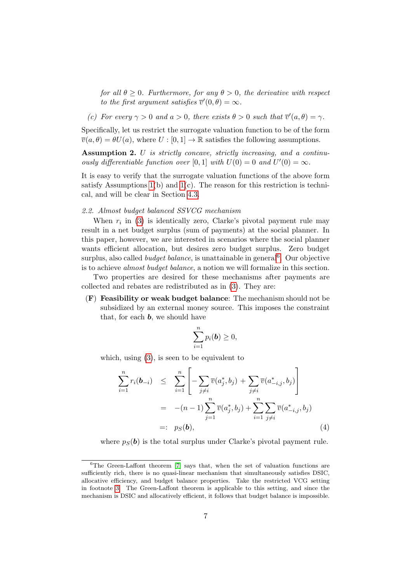<span id="page-6-2"></span>for all  $\theta \geq 0$ . Furthermore, for any  $\theta > 0$ , the derivative with respect to the first argument satisfies  $\overline{v}'(0,\theta) = \infty$ .

(c) For every  $\gamma > 0$  and  $a > 0$ , there exists  $\theta > 0$  such that  $\overline{v}'(a, \theta) = \gamma$ .

Specifically, let us restrict the surrogate valuation function to be of the form  $\overline{v}(a, \theta) = \theta U(a)$ , where  $U : [0, 1] \to \mathbb{R}$  satisfies the following assumptions.

Assumption 2. U is strictly concave, strictly increasing, and a continuously differentiable function over [0, 1] with  $U(0) = 0$  and  $U'(0) = \infty$ .

It is easy to verify that the surrogate valuation functions of the above form satisfy Assumptions  $1(b)$  and  $1(c)$ . The reason for this restriction is technical, and will be clear in Section [4.3.](#page-12-0)

## 2.2. Almost budget balanced SSVCG mechanism

When  $r_i$  in [\(3\)](#page-4-3) is identically zero, Clarke's pivotal payment rule may result in a net budget surplus (sum of payments) at the social planner. In this paper, however, we are interested in scenarios where the social planner wants efficient allocation, but desires zero budget surplus. Zero budget surplus, also called *budget balance*, is unattainable in general<sup>[6](#page-6-0)</sup>. Our objective is to achieve almost budget balance, a notion we will formalize in this section.

Two properties are desired for these mechanisms after payments are collected and rebates are redistributed as in [\(3\)](#page-4-3). They are:

(F) Feasibility or weak budget balance: The mechanism should not be subsidized by an external money source. This imposes the constraint that, for each **, we should have** 

$$
\sum_{i=1}^n p_i(\mathbf{b}) \geq 0,
$$

which, using  $(3)$ , is seen to be equivalent to

<span id="page-6-1"></span>
$$
\sum_{i=1}^{n} r_i(\mathbf{b}_{-i}) \leq \sum_{i=1}^{n} \left[ -\sum_{j \neq i} \overline{v}(a_j^*, b_j) + \sum_{j \neq i} \overline{v}(a_{-i,j}^*, b_j) \right]
$$
\n
$$
= -(n-1) \sum_{j=1}^{n} \overline{v}(a_j^*, b_j) + \sum_{i=1}^{n} \sum_{j \neq i} \overline{v}(a_{-i,j}^*, b_j)
$$
\n
$$
=: p_S(\mathbf{b}), \qquad (4)
$$

where  $p_S(b)$  is the total surplus under Clarke's pivotal payment rule.

<span id="page-6-0"></span> ${}^{6}$ The Green-Laffont theorem [\[7\]](#page-28-2) says that, when the set of valuation functions are sufficiently rich, there is no quasi-linear mechanism that simultaneously satisfies DSIC, allocative efficiency, and budget balance properties. Take the restricted VCG setting in footnote [3.](#page-5-2) The Green-Laffont theorem is applicable to this setting, and since the mechanism is DSIC and allocatively efficient, it follows that budget balance is impossible.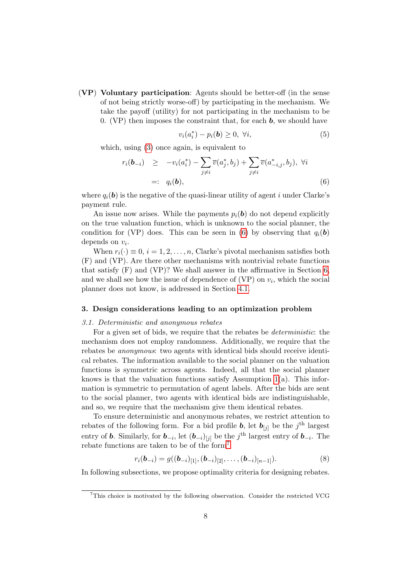(VP) Voluntary participation: Agents should be better-off (in the sense of not being strictly worse-off) by participating in the mechanism. We take the payoff (utility) for not participating in the mechanism to be 0. (VP) then imposes the constraint that, for each  $\boldsymbol{b}$ , we should have

$$
v_i(a_i^*) - p_i(b) \ge 0, \ \forall i,
$$
\n<sup>(5)</sup>

which, using  $(3)$  once again, is equivalent to

<span id="page-7-1"></span>
$$
r_i(\mathbf{b}_{-i}) \geq -v_i(a_i^*) - \sum_{j \neq i} \overline{v}(a_j^*, b_j) + \sum_{j \neq i} \overline{v}(a_{-i,j}^*, b_j), \ \forall i
$$
  

$$
=: q_i(\mathbf{b}), \qquad (6)
$$

where  $q_i(\mathbf{b})$  is the negative of the quasi-linear utility of agent i under Clarke's payment rule.

An issue now arises. While the payments  $p_i(\mathbf{b})$  do not depend explicitly on the true valuation function, which is unknown to the social planner, the condition for (VP) does. This can be seen in [\(6\)](#page-7-1) by observing that  $q_i(\mathbf{b})$ depends on  $v_i$ .

When  $r_i(\cdot) \equiv 0, i = 1, 2, \ldots, n$ , Clarke's pivotal mechanism satisfies both (F) and (VP). Are there other mechanisms with nontrivial rebate functions that satisfy (F) and (VP)? We shall answer in the affirmative in Section [6,](#page-16-0) and we shall see how the issue of dependence of  $(VP)$  on  $v_i$ , which the social planner does not know, is addressed in Section [4.1.](#page-11-1)

#### <span id="page-7-0"></span>3. Design considerations leading to an optimization problem

# 3.1. Deterministic and anonymous rebates

For a given set of bids, we require that the rebates be deterministic: the mechanism does not employ randomness. Additionally, we require that the rebates be anonymous: two agents with identical bids should receive identical rebates. The information available to the social planner on the valuation functions is symmetric across agents. Indeed, all that the social planner knows is that the valuation functions satisfy Assumption  $1(a)$ . This information is symmetric to permutation of agent labels. After the bids are sent to the social planner, two agents with identical bids are indistinguishable, and so, we require that the mechanism give them identical rebates.

To ensure deterministic and anonymous rebates, we restrict attention to rebates of the following form. For a bid profile **b**, let  $\mathbf{b}_{[j]}$  be the j<sup>th</sup> largest entry of **b**. Similarly, for  $\mathbf{b}_{-i}$ , let  $(\mathbf{b}_{-i})_{[j]}$  be the j<sup>th</sup> largest entry of  $\mathbf{b}_{-i}$ . The rebate functions are taken to be of the form[7](#page-7-2)

<span id="page-7-3"></span>
$$
r_i(\mathbf{b}_{-i}) = g((\mathbf{b}_{-i})_{[1]}, (\mathbf{b}_{-i})_{[2]}, \dots, (\mathbf{b}_{-i})_{[n-1]}).
$$
\n(8)

In following subsections, we propose optimality criteria for designing rebates.

<span id="page-7-2"></span><sup>&</sup>lt;sup>7</sup>This choice is motivated by the following observation. Consider the restricted VCG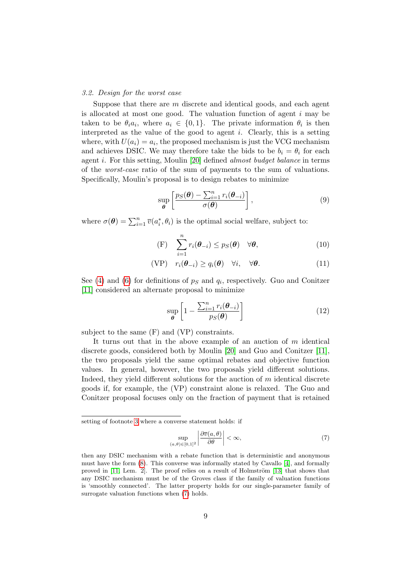#### <span id="page-8-2"></span>3.2. Design for the worst case

Suppose that there are  $m$  discrete and identical goods, and each agent is allocated at most one good. The valuation function of agent  $i$  may be taken to be  $\theta_i a_i$ , where  $a_i \in \{0, 1\}$ . The private information  $\theta_i$  is then interpreted as the value of the good to agent i. Clearly, this is a setting where, with  $U(a_i) = a_i$ , the proposed mechanism is just the VCG mechanism and achieves DSIC. We may therefore take the bids to be  $b_i = \theta_i$  for each agent i. For this setting, Moulin [\[20\]](#page-29-5) defined almost budget balance in terms of the worst-case ratio of the sum of payments to the sum of valuations. Specifically, Moulin's proposal is to design rebates to minimize

<span id="page-8-1"></span>
$$
\sup_{\boldsymbol{\theta}} \left[ \frac{p_S(\boldsymbol{\theta}) - \sum_{i=1}^n r_i(\boldsymbol{\theta}_{-i})}{\sigma(\boldsymbol{\theta})} \right],
$$
\n(9)

where  $\sigma(\theta) = \sum_{i=1}^{n} \overline{v}(a_i^*, \theta_i)$  is the optimal social welfare, subject to:

$$
\text{(F)} \quad \sum_{i=1}^{n} r_i(\boldsymbol{\theta}_{-i}) \le p_S(\boldsymbol{\theta}) \quad \forall \boldsymbol{\theta}, \tag{10}
$$

$$
(VP) \t r_i(\boldsymbol{\theta}_{-i}) \ge q_i(\boldsymbol{\theta}) \quad \forall i, \quad \forall \boldsymbol{\theta}.
$$
 (11)

See [\(4\)](#page-6-1) and [\(6\)](#page-7-1) for definitions of  $p<sub>S</sub>$  and  $q<sub>i</sub>$ , respectively. Guo and Conitzer [\[11\]](#page-28-3) considered an alternate proposal to minimize

<span id="page-8-3"></span>
$$
\sup_{\boldsymbol{\theta}} \left[ 1 - \frac{\sum_{i=1}^{n} r_i(\boldsymbol{\theta}_{-i})}{p_S(\boldsymbol{\theta})} \right]
$$
 (12)

subject to the same (F) and (VP) constraints.

It turns out that in the above example of an auction of  $m$  identical discrete goods, considered both by Moulin [\[20\]](#page-29-5) and Guo and Conitzer [\[11\]](#page-28-3), the two proposals yield the same optimal rebates and objective function values. In general, however, the two proposals yield different solutions. Indeed, they yield different solutions for the auction of  $m$  identical discrete goods if, for example, the (VP) constraint alone is relaxed. The Guo and Conitzer proposal focuses only on the fraction of payment that is retained

<span id="page-8-0"></span>
$$
\sup_{(a,\theta)\in[0,1]^2} \left| \frac{\partial \overline{v}(a,\theta)}{\partial \theta} \right| < \infty,
$$
\n(7)

setting of footnote [3](#page-5-2) where a converse statement holds: if

then any DSIC mechanism with a rebate function that is deterministic and anonymous must have the form [\(8\)](#page-7-3). This converse was informally stated by Cavallo [\[4\]](#page-28-9), and formally proved in  $[11, \text{ Lem. } 2]$  $[11, \text{ Lem. } 2]$ . The proof relies on a result of Holmström  $[13]$  that shows that any DSIC mechanism must be of the Groves class if the family of valuation functions is 'smoothly connected'. The latter property holds for our single-parameter family of surrogate valuation functions when [\(7\)](#page-8-0) holds.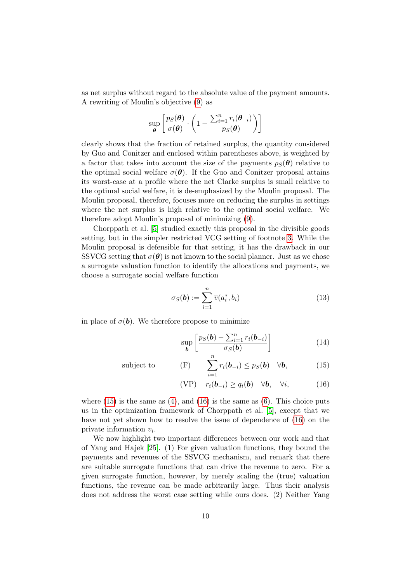as net surplus without regard to the absolute value of the payment amounts. A rewriting of Moulin's objective [\(9\)](#page-8-1) as

$$
\sup_{\boldsymbol{\theta}} \left[ \frac{p_S(\boldsymbol{\theta})}{\sigma(\boldsymbol{\theta})} \cdot \left( 1 - \frac{\sum_{i=1}^n r_i(\boldsymbol{\theta}_{-i})}{p_S(\boldsymbol{\theta})} \right) \right]
$$

clearly shows that the fraction of retained surplus, the quantity considered by Guo and Conitzer and enclosed within parentheses above, is weighted by a factor that takes into account the size of the payments  $p_S(\theta)$  relative to the optimal social welfare  $\sigma(\theta)$ . If the Guo and Conitzer proposal attains its worst-case at a profile where the net Clarke surplus is small relative to the optimal social welfare, it is de-emphasized by the Moulin proposal. The Moulin proposal, therefore, focuses more on reducing the surplus in settings where the net surplus is high relative to the optimal social welfare. We therefore adopt Moulin's proposal of minimizing [\(9\)](#page-8-1).

Chorppath et al. [\[5\]](#page-28-6) studied exactly this proposal in the divisible goods setting, but in the simpler restricted VCG setting of footnote [3.](#page-5-2) While the Moulin proposal is defensible for that setting, it has the drawback in our SSVCG setting that  $\sigma(\theta)$  is not known to the social planner. Just as we chose a surrogate valuation function to identify the allocations and payments, we choose a surrogate social welfare function

<span id="page-9-3"></span>
$$
\sigma_S(\mathbf{b}) := \sum_{i=1}^n \overline{v}(a_i^*, b_i)
$$
\n(13)

in place of  $\sigma(\mathbf{b})$ . We therefore propose to minimize

<span id="page-9-2"></span>
$$
\sup_{\boldsymbol{b}} \left[ \frac{p_S(\boldsymbol{b}) - \sum_{i=1}^n r_i(\boldsymbol{b}_{-i})}{\sigma_S(\boldsymbol{b})} \right] \tag{14}
$$

subject to 
$$
\sum_{i=1}^{n} r_i(\mathbf{b}_{-i}) \leq p_S(\mathbf{b}) \quad \forall \mathbf{b},
$$
 (15)

<span id="page-9-1"></span><span id="page-9-0"></span>
$$
(VP) \t r_i(\boldsymbol{b}_{-i}) \ge q_i(\boldsymbol{b}) \quad \forall \boldsymbol{b}, \quad \forall i,
$$
 (16)

where  $(15)$  is the same as  $(4)$ , and  $(16)$  is the same as  $(6)$ . This choice puts us in the optimization framework of Chorppath et al. [\[5\]](#page-28-6), except that we have not yet shown how to resolve the issue of dependence of [\(16\)](#page-9-1) on the private information  $v_i$ .

We now highlight two important differences between our work and that of Yang and Hajek [\[25\]](#page-29-0). (1) For given valuation functions, they bound the payments and revenues of the SSVCG mechanism, and remark that there are suitable surrogate functions that can drive the revenue to zero. For a given surrogate function, however, by merely scaling the (true) valuation functions, the revenue can be made arbitrarily large. Thus their analysis does not address the worst case setting while ours does. (2) Neither Yang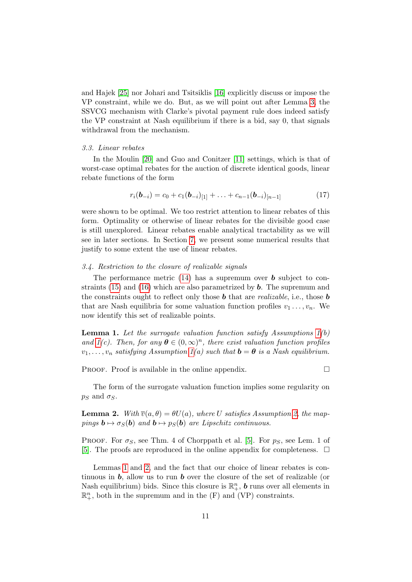and Hajek [\[25\]](#page-29-0) nor Johari and Tsitsiklis [\[16\]](#page-29-1) explicitly discuss or impose the VP constraint, while we do. But, as we will point out after Lemma [3,](#page-11-2) the SSVCG mechanism with Clarke's pivotal payment rule does indeed satisfy the VP constraint at Nash equilibrium if there is a bid, say 0, that signals withdrawal from the mechanism.

# 3.3. Linear rebates

In the Moulin [\[20\]](#page-29-5) and Guo and Conitzer [\[11\]](#page-28-3) settings, which is that of worst-case optimal rebates for the auction of discrete identical goods, linear rebate functions of the form

$$
r_i(\mathbf{b}_{-i}) = c_0 + c_1(\mathbf{b}_{-i})_{[1]} + \ldots + c_{n-1}(\mathbf{b}_{-i})_{[n-1]}
$$
(17)

were shown to be optimal. We too restrict attention to linear rebates of this form. Optimality or otherwise of linear rebates for the divisible good case is still unexplored. Linear rebates enable analytical tractability as we will see in later sections. In Section [7,](#page-18-0) we present some numerical results that justify to some extent the use of linear rebates.

#### 3.4. Restriction to the closure of realizable signals

The performance metric  $(14)$  has a supremum over **b** subject to con-straints [\(15\)](#page-9-0) and [\(16\)](#page-9-1) which are also parametrized by  $\boldsymbol{b}$ . The supremum and the constraints ought to reflect only those  $\boldsymbol{b}$  that are *realizable*, i.e., those  $\boldsymbol{b}$ that are Nash equilibria for some valuation function profiles  $v_1 \ldots, v_n$ . We now identify this set of realizable points.

<span id="page-10-0"></span>**Lemma 1.** Let the surrogate valuation function satisfy Assumptions  $1(b)$ and  $1(c)$ . Then, for any  $\boldsymbol{\theta} \in (0,\infty)^n$ , there exist valuation function profiles  $v_1, \ldots, v_n$  satisfying Assumption [1\(](#page-5-5)a) such that  $\mathbf{b} = \boldsymbol{\theta}$  is a Nash equilibrium.

**PROOF.** Proof is available in the online appendix.  $\Box$ 

The form of the surrogate valuation function implies some regularity on  $p_S$  and  $\sigma_S$ .

<span id="page-10-1"></span>**Lemma 2.** With  $\overline{v}(a, \theta) = \theta U(a)$ , where U satisfies Assumption [2,](#page-6-2) the mappings  $\mathbf{b} \mapsto \sigma_S(\mathbf{b})$  and  $\mathbf{b} \mapsto p_S(\mathbf{b})$  are Lipschitz continuous.

PROOF. For  $\sigma_S$ , see Thm. 4 of Chorppath et al. [\[5\]](#page-28-6). For  $p_S$ , see Lem. 1 of [\[5\]](#page-28-6). The proofs are reproduced in the online appendix for completeness.  $\Box$ 

Lemmas [1](#page-10-0) and [2,](#page-10-1) and the fact that our choice of linear rebates is continuous in  $\bm{b}$ , allow us to run  $\bm{b}$  over the closure of the set of realizable (or Nash equilibrium) bids. Since this closure is  $\mathbb{R}^n_+$ , **b** runs over all elements in  $\mathbb{R}^n_+$ , both in the supremum and in the  $(F)$  and  $(VP)$  constraints.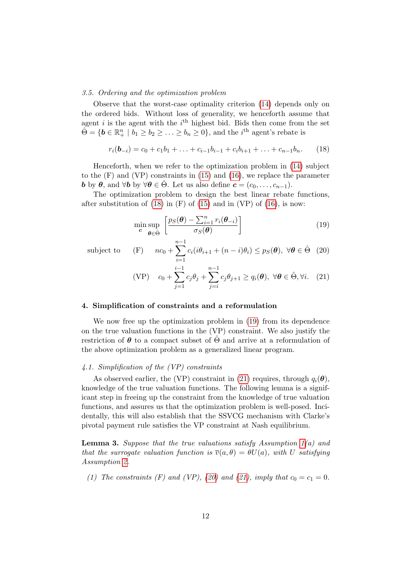#### 3.5. Ordering and the optimization problem

Observe that the worst-case optimality criterion [\(14\)](#page-9-2) depends only on the ordered bids. Without loss of generality, we henceforth assume that agent  $i$  is the agent with the  $i<sup>th</sup>$  highest bid. Bids then come from the set  $\hat{\Theta} = \{ \mathbf{b} \in \mathbb{R}_+^n \mid b_1 \geq b_2 \geq \ldots \geq b_n \geq 0 \},\$ and the *i*<sup>th</sup> agent's rebate is

$$
r_i(\mathbf{b}_{-i}) = c_0 + c_1b_1 + \ldots + c_{i-1}b_{i-1} + c_ib_{i+1} + \ldots + c_{n-1}b_n.
$$
 (18)

Henceforth, when we refer to the optimization problem in [\(14\)](#page-9-2) subject to the (F) and (VP) constraints in [\(15\)](#page-9-0) and [\(16\)](#page-9-1), we replace the parameter **b** by  $\theta$ , and  $\forall$ **b** by  $\forall \theta \in \hat{\Theta}$ . Let us also define  $\mathbf{c} = (c_0, \ldots, c_{n-1})$ .

The optimization problem to design the best linear rebate functions, after substitution of  $(18)$  in  $(F)$  of  $(15)$  and in  $(VP)$  of  $(16)$ , is now:

<span id="page-11-6"></span><span id="page-11-4"></span><span id="page-11-3"></span>
$$
\min_{\mathbf{c}} \sup_{\boldsymbol{\theta} \in \hat{\Theta}} \left[ \frac{p_S(\boldsymbol{\theta}) - \sum_{i=1}^n r_i(\boldsymbol{\theta}_{-i})}{\sigma_S(\boldsymbol{\theta})} \right]
$$
(19)

subject to

(F) 
$$
nc_0 + \sum_{i=1}^{n-1} c_i (i\theta_{i+1} + (n-i)\theta_i) \leq p_S(\boldsymbol{\theta}), \ \forall \boldsymbol{\theta} \in \hat{\Theta}
$$
 (20)

<span id="page-11-5"></span>(VP) 
$$
c_0 + \sum_{j=1}^{i-1} c_j \theta_j + \sum_{j=i}^{n-1} c_j \theta_{j+1} \ge q_i(\boldsymbol{\theta}), \ \forall \boldsymbol{\theta} \in \hat{\Theta}, \forall i. \quad (21)
$$

#### <span id="page-11-0"></span>4. Simplification of constraints and a reformulation

We now free up the optimization problem in  $(19)$  from its dependence on the true valuation functions in the (VP) constraint. We also justify the restriction of  $\theta$  to a compact subset of  $\Theta$  and arrive at a reformulation of the above optimization problem as a generalized linear program.

# <span id="page-11-1"></span>4.1. Simplification of the (VP) constraints

As observed earlier, the (VP) constraint in [\(21\)](#page-11-5) requires, through  $q_i(\boldsymbol{\theta})$ , knowledge of the true valuation functions. The following lemma is a significant step in freeing up the constraint from the knowledge of true valuation functions, and assures us that the optimization problem is well-posed. Incidentally, this will also establish that the SSVCG mechanism with Clarke's pivotal payment rule satisfies the VP constraint at Nash equilibrium.

<span id="page-11-2"></span>**Lemma 3.** Suppose that the true valuations satisfy Assumption  $1(a)$  and that the surrogate valuation function is  $\overline{v}(a, \theta) = \theta U(a)$ , with U satisfying Assumption [2.](#page-6-2)

(1) The constraints (F) and (VP), [\(20\)](#page-11-6) and [\(21\)](#page-11-5), imply that  $c_0 = c_1 = 0$ .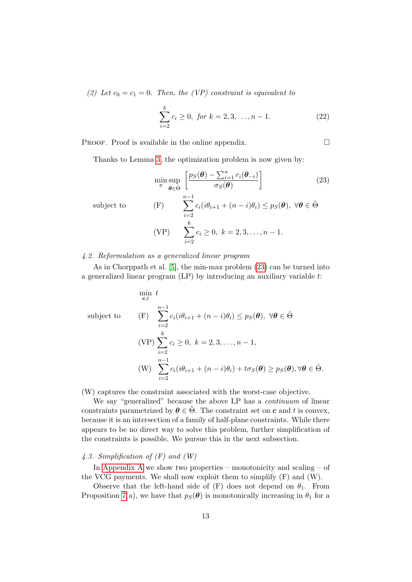(2) Let  $c_0 = c_1 = 0$ . Then, the (VP) constraint is equivalent to

<span id="page-12-2"></span><span id="page-12-1"></span>
$$
\sum_{i=2}^{k} c_i \ge 0, \text{ for } k = 2, 3, \dots, n - 1.
$$
 (22)

PROOF. Proof is available in the online appendix.  $\Box$ 

Thanks to Lemma [3,](#page-11-2) the optimization problem is now given by:

$$
\min_{\mathbf{c}} \sup_{\boldsymbol{\theta} \in \hat{\Theta}} \left[ \frac{p_S(\boldsymbol{\theta}) - \sum_{i=1}^n r_i(\boldsymbol{\theta}_{-i})}{\sigma_S(\boldsymbol{\theta})} \right] \tag{23}
$$
\n
$$
\text{subject to} \quad \text{(F)} \quad \sum_{i=2}^{n-1} c_i (i\theta_{i+1} + (n-i)\theta_i) \le p_S(\boldsymbol{\theta}), \ \forall \boldsymbol{\theta} \in \hat{\Theta}
$$
\n
$$
\text{(VP)} \quad \sum_{i=2}^k c_i \ge 0, \ k = 2, 3, \dots, n-1.
$$

# 4.2. Reformulation as a generalized linear program

As in Chorppath et al. [\[5\]](#page-28-6), the min-max problem [\(23\)](#page-12-1) can be turned into a generalized linear program (LP) by introducing an auxiliary variable t:

$$
\min_{\mathbf{c},t} t
$$
\n
$$
\text{subject to} \qquad \text{(F)} \quad \sum_{i=2}^{n-1} c_i (i\theta_{i+1} + (n-i)\theta_i) \le p_S(\boldsymbol{\theta}), \ \forall \boldsymbol{\theta} \in \hat{\Theta}
$$
\n
$$
\text{(VP)} \sum_{i=2}^k c_i \ge 0, \ k = 2, 3, \dots, n-1,
$$
\n
$$
\text{(W)} \quad \sum_{i=2}^{n-1} c_i (i\theta_{i+1} + (n-i)\theta_i) + t\sigma_S(\boldsymbol{\theta}) \ge p_S(\boldsymbol{\theta}), \forall \boldsymbol{\theta} \in \hat{\Theta}.
$$

(W) captures the constraint associated with the worst-case objective.

We say "generalized" because the above LP has a *continuum* of linear constraints parametrized by  $\theta \in \hat{\Theta}$ . The constraint set on **c** and t is convex, because it is an intersection of a family of half-plane constraints. While there appears to be no direct way to solve this problem, further simplification of the constraints is possible. We pursue this in the next subsection.

# <span id="page-12-0"></span>4.3. Simplification of  $(F)$  and  $(W)$

In [Appendix A](#page-21-0) we show two properties – monotonicity and scaling – of the VCG payments. We shall now exploit them to simplify (F) and (W).

Observe that the left-hand side of  $(F)$  does not depend on  $\theta_1$ . From Proposition [7\(](#page-21-1)a), we have that  $p_S(\theta)$  is monotonically increasing in  $\theta_1$  for a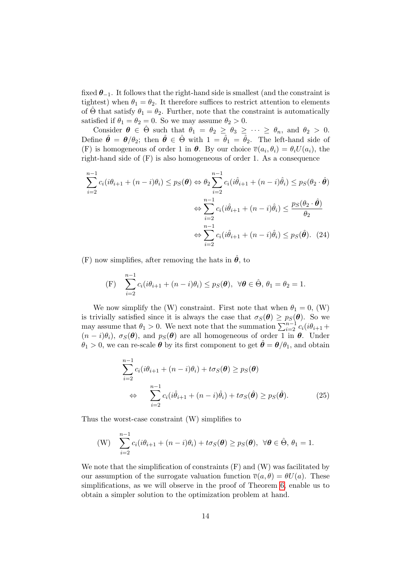fixed  $\theta_{-1}$ . It follows that the right-hand side is smallest (and the constraint is tightest) when  $\theta_1 = \theta_2$ . It therefore suffices to restrict attention to elements of  $\Theta$  that satisfy  $\theta_1 = \theta_2$ . Further, note that the constraint is automatically satisfied if  $\theta_1 = \theta_2 = 0$ . So we may assume  $\theta_2 > 0$ .

Consider  $\theta \in \hat{\Theta}$  such that  $\theta_1 = \theta_2 \ge \theta_3 \ge \cdots \ge \theta_n$ , and  $\theta_2 > 0$ . Define  $\hat{\theta} = \theta/\theta_2$ ; then  $\hat{\theta} \in \hat{\Theta}$  with  $1 = \hat{\theta}_1 = \hat{\theta}_2$ . The left-hand side of (F) is homogeneous of order 1 in  $\theta$ . By our choice  $\overline{v}(a_i, \theta_i) = \theta_i U(a_i)$ , the right-hand side of (F) is also homogeneous of order 1. As a consequence

$$
\sum_{i=2}^{n-1} c_i (i\theta_{i+1} + (n-i)\theta_i) \le p_S(\boldsymbol{\theta}) \Leftrightarrow \theta_2 \sum_{i=2}^{n-1} c_i (i\hat{\theta}_{i+1} + (n-i)\hat{\theta}_i) \le p_S(\theta_2 \cdot \hat{\boldsymbol{\theta}})
$$

$$
\Leftrightarrow \sum_{i=2}^{n-1} c_i (i\hat{\theta}_{i+1} + (n-i)\hat{\theta}_i) \le \frac{p_S(\theta_2 \cdot \hat{\boldsymbol{\theta}})}{\theta_2}
$$

$$
\Leftrightarrow \sum_{i=2}^{n-1} c_i (i\hat{\theta}_{i+1} + (n-i)\hat{\theta}_i) \le p_S(\hat{\boldsymbol{\theta}}). \tag{24}
$$

(F) now simplifies, after removing the hats in  $\hat{\theta}$ , to

(F) 
$$
\sum_{i=2}^{n-1} c_i (i\theta_{i+1} + (n-i)\theta_i) \leq p_S(\boldsymbol{\theta}), \ \forall \boldsymbol{\theta} \in \hat{\Theta}, \ \theta_1 = \theta_2 = 1.
$$

We now simplify the (W) constraint. First note that when  $\theta_1 = 0$ , (W) is trivially satisfied since it is always the case that  $\sigma_S(\theta) \geq p_S(\theta)$ . So we may assume that  $\theta_1 > 0$ . We next note that the summation  $\sum_{i=2}^{n-1} c_i (i \theta_{i+1} +$  $(n - i)\theta_i$ ,  $\sigma_S(\theta)$ , and  $p_S(\theta)$  are all homogeneous of order 1 in  $\theta$ . Under  $\theta_1 > 0$ , we can re-scale  $\boldsymbol{\theta}$  by its first component to get  $\hat{\boldsymbol{\theta}} = \boldsymbol{\theta}/\theta_1$ , and obtain

$$
\sum_{i=2}^{n-1} c_i (i\theta_{i+1} + (n-i)\theta_i) + t\sigma_S(\boldsymbol{\theta}) \ge p_S(\boldsymbol{\theta})
$$
  
\n
$$
\Leftrightarrow \sum_{i=2}^{n-1} c_i (i\hat{\theta}_{i+1} + (n-i)\hat{\theta}_i) + t\sigma_S(\hat{\boldsymbol{\theta}}) \ge p_S(\hat{\boldsymbol{\theta}}).
$$
 (25)

Thus the worst-case constraint (W) simplifies to

$$
\text{(W)} \quad \sum_{i=2}^{n-1} c_i (i\theta_{i+1} + (n-i)\theta_i) + t\sigma_S(\boldsymbol{\theta}) \geq p_S(\boldsymbol{\theta}), \ \ \forall \boldsymbol{\theta} \in \hat{\Theta}, \ \theta_1 = 1.
$$

We note that the simplification of constraints  $(F)$  and  $(W)$  was facilitated by our assumption of the surrogate valuation function  $\overline{v}(a, \theta) = \theta U(a)$ . These simplifications, as we will observe in the proof of Theorem [6,](#page-17-0) enable us to obtain a simpler solution to the optimization problem at hand.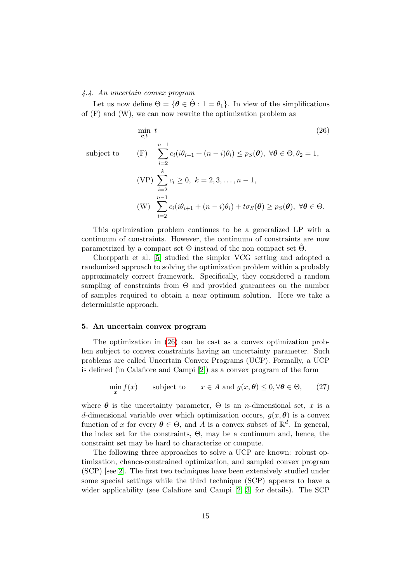#### 4.4. An uncertain convex program

subject to

Let us now define  $\Theta = {\theta \in \hat{\Theta} : 1 = \theta_1}.$  In view of the simplifications of (F) and (W), we can now rewrite the optimization problem as

<span id="page-14-1"></span>
$$
\min_{\mathbf{c},t} t
$$
\n
$$
\text{(P)} \quad \sum_{i=2}^{n-1} c_i (i\theta_{i+1} + (n-i)\theta_i) \le p_S(\boldsymbol{\theta}), \ \forall \boldsymbol{\theta} \in \Theta, \theta_2 = 1,
$$
\n
$$
\text{(VP)} \quad \sum_{i=2}^k c_i \ge 0, \ k = 2, 3, \dots, n-1,
$$
\n
$$
\text{(W)} \quad \sum_{i=2}^{n-1} c_i (i\theta_{i+1} + (n-i)\theta_i) + t\sigma_S(\boldsymbol{\theta}) \ge p_S(\boldsymbol{\theta}), \ \forall \boldsymbol{\theta} \in \Theta.
$$
\n
$$
\text{(V)} \quad \sum_{i=2}^{n-1} c_i (i\theta_{i+1} + (n-i)\theta_i) + t\sigma_S(\boldsymbol{\theta}) \ge p_S(\boldsymbol{\theta}), \ \forall \boldsymbol{\theta} \in \Theta.
$$
\n
$$
\text{(V)} \quad \sum_{i=2}^{n-1} c_i (i\theta_{i+1} + (n-i)\theta_i) + t\sigma_S(\boldsymbol{\theta}) \ge p_S(\boldsymbol{\theta}), \ \forall \boldsymbol{\theta} \in \Theta.
$$
\n
$$
\text{(V)} \quad \sum_{i=2}^{n-1} c_i (i\theta_{i+1} + (n-i)\theta_i) + t\sigma_S(\boldsymbol{\theta}) \ge p_S(\boldsymbol{\theta}), \ \forall \boldsymbol{\theta} \in \Theta.
$$
\n
$$
\text{(V)} \quad \sum_{i=2}^{n-1} c_i (i\theta_{i+1} + (n-i)\theta_i) \le p_S(\boldsymbol{\theta}) \ge p_S(\boldsymbol{\theta}), \ \forall \boldsymbol{\theta} \in \Theta.
$$

 $i=2$ This optimization problem continues to be a generalized LP with a continuum of constraints. However, the continuum of constraints are now

parametrized by a compact set  $\Theta$  instead of the non compact set  $\hat{\Theta}$ . Chorppath et al. [\[5\]](#page-28-6) studied the simpler VCG setting and adopted a randomized approach to solving the optimization problem within a probably approximately correct framework. Specifically, they considered a random sampling of constraints from  $\Theta$  and provided guarantees on the number of samples required to obtain a near optimum solution. Here we take a deterministic approach.

# <span id="page-14-0"></span>5. An uncertain convex program

The optimization in [\(26\)](#page-14-1) can be cast as a convex optimization problem subject to convex constraints having an uncertainty parameter. Such problems are called Uncertain Convex Programs (UCP). Formally, a UCP is defined (in Calafiore and Campi [\[2\]](#page-28-8)) as a convex program of the form

<span id="page-14-2"></span>
$$
\min_{x} f(x) \qquad \text{subject to} \qquad x \in A \text{ and } g(x, \theta) \le 0, \forall \theta \in \Theta, \qquad (27)
$$

where  $\theta$  is the uncertainty parameter,  $\Theta$  is an *n*-dimensional set, x is a d-dimensional variable over which optimization occurs,  $g(x, \theta)$  is a convex function of x for every  $\boldsymbol{\theta} \in \Theta$ , and A is a convex subset of  $\mathbb{R}^d$ . In general, the index set for the constraints, Θ, may be a continuum and, hence, the constraint set may be hard to characterize or compute.

The following three approaches to solve a UCP are known: robust optimization, chance-constrained optimization, and sampled convex program (SCP) [see [2\]](#page-28-8). The first two techniques have been extensively studied under some special settings while the third technique (SCP) appears to have a wider applicability (see Calafiore and Campi [\[2,](#page-28-8) [3\]](#page-28-10) for details). The SCP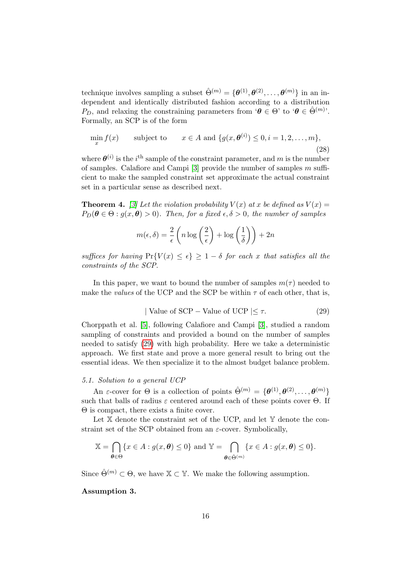technique involves sampling a subset  $\hat{\Theta}^{(m)} = \{\theta^{(1)}, \theta^{(2)}, \dots, \theta^{(m)}\}$  in an independent and identically distributed fashion according to a distribution P<sub>D</sub>, and relaxing the constraining parameters from ' $\theta \in \Theta$ ' to ' $\theta \in \hat{\Theta}^{(m)}$ '. Formally, an SCP is of the form

<span id="page-15-1"></span>
$$
\min_{x} f(x) \qquad \text{subject to} \qquad x \in A \text{ and } \{g(x, \boldsymbol{\theta}^{(i)}) \le 0, i = 1, 2, \dots, m\},\tag{28}
$$

where  $\theta^{(i)}$  is the *i*<sup>th</sup> sample of the constraint parameter, and m is the number of samples. Calafore and Campi  $[3]$  provide the number of samples m sufficient to make the sampled constraint set approximate the actual constraint set in a particular sense as described next.

**Theorem 4.** [\[3\]](#page-28-10) Let the violation probability  $V(x)$  at x be defined as  $V(x) =$  $P_D(\theta \in \Theta : g(x, \theta) > 0)$ . Then, for a fixed  $\epsilon, \delta > 0$ , the number of samples

$$
m(\epsilon, \delta) = \frac{2}{\epsilon} \left( n \log \left( \frac{2}{\epsilon} \right) + \log \left( \frac{1}{\delta} \right) \right) + 2n
$$

suffices for having  $Pr{V(x) \leq \epsilon} \geq 1 - \delta$  for each x that satisfies all the constraints of the SCP.

<span id="page-15-0"></span>In this paper, we want to bound the number of samples  $m(\tau)$  needed to make the values of the UCP and the SCP be within  $\tau$  of each other, that is,

$$
| Value of SCP - Value of UCP | \leq \tau.
$$
 (29)

Chorppath et al. [\[5\]](#page-28-6), following Calafiore and Campi [\[3\]](#page-28-10), studied a random sampling of constraints and provided a bound on the number of samples needed to satisfy [\(29\)](#page-15-0) with high probability. Here we take a deterministic approach. We first state and prove a more general result to bring out the essential ideas. We then specialize it to the almost budget balance problem.

#### 5.1. Solution to a general UCP

An  $\varepsilon$ -cover for  $\Theta$  is a collection of points  $\hat{\Theta}^{(m)} = {\theta^{(1)}, \theta^{(2)}, \dots, \theta^{(m)}}$ such that balls of radius  $\varepsilon$  centered around each of these points cover  $\Theta$ . If Θ is compact, there exists a finite cover.

Let  $X$  denote the constraint set of the UCP, and let  $Y$  denote the constraint set of the SCP obtained from an  $\varepsilon$ -cover. Symbolically,

$$
\mathbb{X} = \bigcap_{\boldsymbol{\theta} \in \Theta} \{x \in A : g(x, \boldsymbol{\theta}) \le 0\} \text{ and } \mathbb{Y} = \bigcap_{\boldsymbol{\theta} \in \hat{\Theta}^{(m)}} \{x \in A : g(x, \boldsymbol{\theta}) \le 0\}.
$$

<span id="page-15-2"></span>Since  $\hat{\Theta}^{(m)} \subset \Theta$ , we have  $\mathbb{X} \subset \mathbb{Y}$ . We make the following assumption.

# Assumption 3.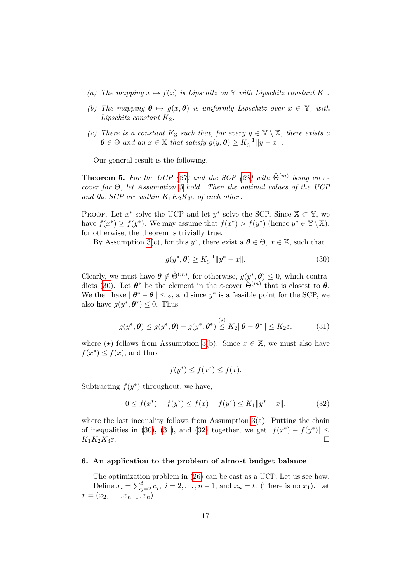- (a) The mapping  $x \mapsto f(x)$  is Lipschitz on Y with Lipschitz constant  $K_1$ .
- (b) The mapping  $\theta \mapsto g(x, \theta)$  is uniformly Lipschitz over  $x \in \mathbb{Y}$ , with Lipschitz constant  $K_2$ .
- (c) There is a constant  $K_3$  such that, for every  $y \in \mathbb{Y} \setminus \mathbb{X}$ , there exists a  $\boldsymbol{\theta} \in \Theta$  and an  $x \in \mathbb{X}$  that satisfy  $g(y, \boldsymbol{\theta}) \geq K_3^{-1} ||y - x||$ .

Our general result is the following.

<span id="page-16-4"></span>**Theorem 5.** For the UCP [\(27\)](#page-14-2) and the SCP [\(28\)](#page-15-1) with  $\hat{\Theta}^{(m)}$  being an  $\varepsilon$ cover for Θ, let Assumption [3](#page-15-2) hold. Then the optimal values of the UCP and the SCP are within  $K_1K_2K_3\varepsilon$  of each other.

PROOF. Let  $x^*$  solve the UCP and let  $y^*$  solve the SCP. Since  $\mathbb{X} \subset \mathbb{Y}$ , we have  $f(x^*) \ge f(y^*)$ . We may assume that  $f(x^*) > f(y^*)$  (hence  $y^* \in \mathbb{Y} \setminus \mathbb{X}$ ), for otherwise, the theorem is trivially true.

By Assumption [3\(](#page-15-2)c), for this  $y^*$ , there exist a  $\boldsymbol{\theta} \in \Theta$ ,  $x \in \mathbb{X}$ , such that

<span id="page-16-2"></span><span id="page-16-1"></span>
$$
g(y^*, \theta) \ge K_3^{-1} \|y^* - x\|.
$$
 (30)

Clearly, we must have  $\boldsymbol{\theta} \notin \hat{\Theta}^{(m)}$ , for otherwise,  $g(y^*, \boldsymbol{\theta}) \leq 0$ , which contra-dicts [\(30\)](#page-16-1). Let  $\boldsymbol{\theta}^*$  be the element in the  $\varepsilon$ -cover  $\hat{\Theta}^{(m)}$  that is closest to  $\boldsymbol{\theta}$ . We then have  $||\theta^* - \theta|| \leq \varepsilon$ , and since  $y^*$  is a feasible point for the SCP, we also have  $g(y^*, \theta^*) \leq 0$ . Thus

$$
g(y^*, \boldsymbol{\theta}) \le g(y^*, \boldsymbol{\theta}) - g(y^*, \boldsymbol{\theta}^*) \stackrel{(\star)}{\leq} K_2 \|\boldsymbol{\theta} - \boldsymbol{\theta}^*\| \leq K_2 \varepsilon,
$$
 (31)

where  $(\star)$  follows from Assumption [3\(](#page-15-2)b). Since  $x \in \mathbb{X}$ , we must also have  $f(x^*) \leq f(x)$ , and thus

<span id="page-16-3"></span>
$$
f(y^*) \le f(x^*) \le f(x).
$$

Subtracting  $f(y^*)$  throughout, we have,

$$
0 \le f(x^*) - f(y^*) \le f(x) - f(y^*) \le K_1 \|y^* - x\|,\tag{32}
$$

where the last inequality follows from Assumption  $3(a)$ . Putting the chain of inequalities in [\(30\)](#page-16-1), [\(31\)](#page-16-2), and [\(32\)](#page-16-3) together, we get  $|f(x^*) - f(y^*)| \le$  $K_1K_2K_3\varepsilon$ .

#### <span id="page-16-0"></span>6. An application to the problem of almost budget balance

The optimization problem in [\(26\)](#page-14-1) can be cast as a UCP. Let us see how. Define  $x_i = \sum_{j=2}^i c_j$ ,  $i = 2, ..., n-1$ , and  $x_n = t$ . (There is no  $x_1$ ). Let  $x = (x_2, \ldots, x_{n-1}, x_n).$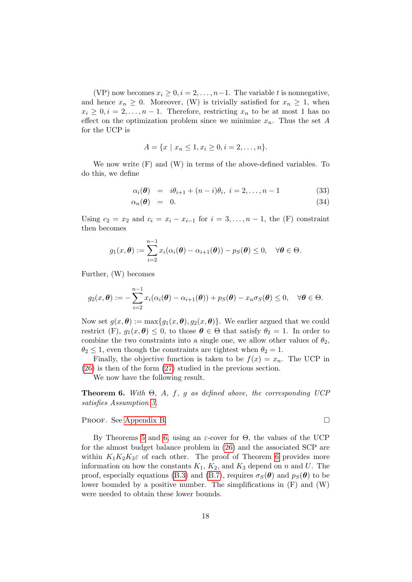(VP) now becomes  $x_i \geq 0, i = 2, \ldots, n-1$ . The variable t is nonnegative, and hence  $x_n \geq 0$ . Moreover, (W) is trivially satisfied for  $x_n \geq 1$ , when  $x_i \geq 0, i = 2, \ldots, n-1$ . Therefore, restricting  $x_n$  to be at most 1 has no effect on the optimization problem since we minimize  $x_n$ . Thus the set A for the UCP is

$$
A = \{x \mid x_n \leq 1, x_i \geq 0, i = 2, \dots, n\}.
$$

We now write (F) and (W) in terms of the above-defined variables. To do this, we define

<span id="page-17-1"></span>
$$
\alpha_i(\theta) = i\theta_{i+1} + (n-i)\theta_i, \ i = 2, ..., n-1 \tag{33}
$$

$$
\alpha_n(\boldsymbol{\theta}) = 0. \tag{34}
$$

Using  $c_2 = x_2$  and  $c_i = x_i - x_{i-1}$  for  $i = 3, \ldots, n-1$ , the (F) constraint then becomes

$$
g_1(x,\boldsymbol{\theta}) := \sum_{i=2}^{n-1} x_i (\alpha_i(\boldsymbol{\theta}) - \alpha_{i+1}(\boldsymbol{\theta})) - p_S(\boldsymbol{\theta}) \leq 0, \quad \forall \boldsymbol{\theta} \in \Theta.
$$

Further, (W) becomes

$$
g_2(x,\boldsymbol{\theta}) := -\sum_{i=2}^{n-1} x_i (\alpha_i(\boldsymbol{\theta}) - \alpha_{i+1}(\boldsymbol{\theta})) + p_S(\boldsymbol{\theta}) - x_n \sigma_S(\boldsymbol{\theta}) \leq 0, \quad \forall \boldsymbol{\theta} \in \Theta.
$$

Now set  $g(x, \theta) := \max\{g_1(x, \theta), g_2(x, \theta)\}\.$  We earlier argued that we could restrict (F),  $g_1(x, \theta) \leq 0$ , to those  $\theta \in \Theta$  that satisfy  $\theta_2 = 1$ . In order to combine the two constraints into a single one, we allow other values of  $\theta_2$ ,  $\theta_2 \leq 1$ , even though the constraints are tightest when  $\theta_2 = 1$ .

Finally, the objective function is taken to be  $f(x) = x_n$ . The UCP in [\(26\)](#page-14-1) is then of the form [\(27\)](#page-14-2) studied in the previous section.

<span id="page-17-0"></span>We now have the following result.

**Theorem 6.** With  $\Theta$ , A, f, g as defined above, the corresponding UCP satisfies Assumption [3.](#page-15-2)

Proof. See [Appendix B.](#page-23-0)

By Theorems [5](#page-16-4) and [6,](#page-17-0) using an  $\varepsilon$ -cover for  $\Theta$ , the values of the UCP for the almost budget balance problem in [\(26\)](#page-14-1) and the associated SCP are within  $K_1K_2K_3\varepsilon$  of each other. The proof of Theorem [6](#page-17-0) provides more information on how the constants  $K_1$ ,  $K_2$ , and  $K_3$  depend on n and U. The proof, especially equations [\(B.3\)](#page-26-0) and [\(B.7\)](#page-26-1), requires  $\sigma_S(\theta)$  and  $p_S(\theta)$  to be lower bounded by a positive number. The simplifications in (F) and (W) were needed to obtain these lower bounds.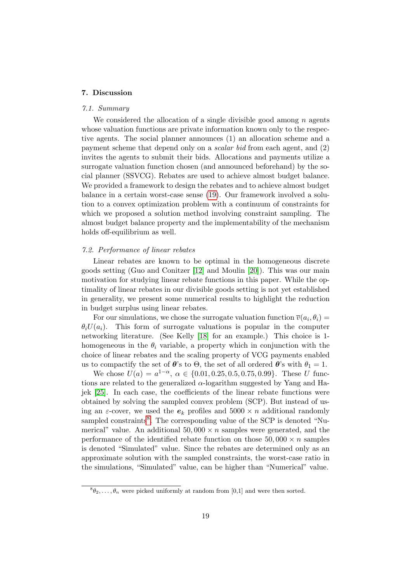# <span id="page-18-0"></span>7. Discussion

# 7.1. Summary

We considered the allocation of a single divisible good among  $n$  agents whose valuation functions are private information known only to the respective agents. The social planner announces (1) an allocation scheme and a payment scheme that depend only on a scalar bid from each agent, and (2) invites the agents to submit their bids. Allocations and payments utilize a surrogate valuation function chosen (and announced beforehand) by the social planner (SSVCG). Rebates are used to achieve almost budget balance. We provided a framework to design the rebates and to achieve almost budget balance in a certain worst-case sense [\(19\)](#page-11-4). Our framework involved a solution to a convex optimization problem with a continuum of constraints for which we proposed a solution method involving constraint sampling. The almost budget balance property and the implementability of the mechanism holds off-equilibrium as well.

# <span id="page-18-2"></span>7.2. Performance of linear rebates

Linear rebates are known to be optimal in the homogeneous discrete goods setting (Guo and Conitzer [\[12\]](#page-29-12) and Moulin [\[20\]](#page-29-5)). This was our main motivation for studying linear rebate functions in this paper. While the optimality of linear rebates in our divisible goods setting is not yet established in generality, we present some numerical results to highlight the reduction in budget surplus using linear rebates.

For our simulations, we chose the surrogate valuation function  $\overline{v}(a_i, \theta_i) =$  $\theta_i U(a_i)$ . This form of surrogate valuations is popular in the computer networking literature. (See Kelly [\[18\]](#page-29-3) for an example.) This choice is 1 homogeneous in the  $\theta_i$  variable, a property which in conjunction with the choice of linear rebates and the scaling property of VCG payments enabled us to compactify the set of  $\theta$ 's to  $\Theta$ , the set of all ordered  $\theta$ 's with  $\theta_1 = 1$ .

We chose  $U(a) = a^{1-\alpha}, \ \alpha \in \{0.01, 0.25, 0.5, 0.75, 0.99\}.$  These U functions are related to the generalized  $\alpha$ -logarithm suggested by Yang and Hajek [\[25\]](#page-29-0). In each case, the coefficients of the linear rebate functions were obtained by solving the sampled convex problem (SCP). But instead of using an  $\varepsilon$ -cover, we used the  $e_k$  profiles and  $5000 \times n$  additional randomly sampled constraints<sup>[8](#page-18-1)</sup>. The corresponding value of the SCP is denoted "Numerical" value. An additional  $50,000 \times n$  samples were generated, and the performance of the identified rebate function on those  $50,000 \times n$  samples is denoted "Simulated" value. Since the rebates are determined only as an approximate solution with the sampled constraints, the worst-case ratio in the simulations, "Simulated" value, can be higher than "Numerical" value.

<span id="page-18-1"></span> ${}^8\theta_2,\ldots,\theta_n$  were picked uniformly at random from [0,1] and were then sorted.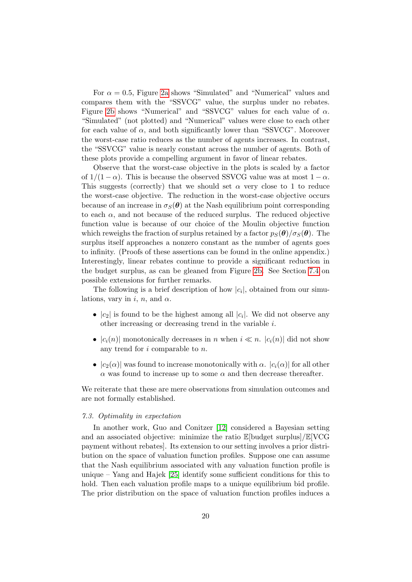For  $\alpha = 0.5$ , Figure [2a](#page-20-0) shows "Simulated" and "Numerical" values and compares them with the "SSVCG" value, the surplus under no rebates. Figure [2b](#page-20-1) shows "Numerical" and "SSVCG" values for each value of  $\alpha$ . "Simulated" (not plotted) and "Numerical" values were close to each other for each value of  $\alpha$ , and both significantly lower than "SSVCG". Moreover the worst-case ratio reduces as the number of agents increases. In contrast, the "SSVCG" value is nearly constant across the number of agents. Both of these plots provide a compelling argument in favor of linear rebates.

Observe that the worst-case objective in the plots is scaled by a factor of  $1/(1 - \alpha)$ . This is because the observed SSVCG value was at most  $1 - \alpha$ . This suggests (correctly) that we should set  $\alpha$  very close to 1 to reduce the worst-case objective. The reduction in the worst-case objective occurs because of an increase in  $\sigma_S(\theta)$  at the Nash equilibrium point corresponding to each  $\alpha$ , and not because of the reduced surplus. The reduced objective function value is because of our choice of the Moulin objective function which reweighs the fraction of surplus retained by a factor  $p_S(\theta)/\sigma_S(\theta)$ . The surplus itself approaches a nonzero constant as the number of agents goes to infinity. (Proofs of these assertions can be found in the online appendix.) Interestingly, linear rebates continue to provide a significant reduction in the budget surplus, as can be gleaned from Figure [2b.](#page-20-1) See Section [7.4](#page-20-2) on possible extensions for further remarks.

The following is a brief description of how  $|c_i|$ , obtained from our simulations, vary in i, n, and  $\alpha$ .

- $|c_2|$  is found to be the highest among all  $|c_i|$ . We did not observe any other increasing or decreasing trend in the variable i.
- $|c_i(n)|$  monotonically decreases in n when  $i \ll n$ .  $|c_i(n)|$  did not show any trend for i comparable to n.
- $|c_2(\alpha)|$  was found to increase monotonically with  $\alpha$ .  $|c_i(\alpha)|$  for all other  $\alpha$  was found to increase up to some  $\alpha$  and then decrease thereafter.

We reiterate that these are mere observations from simulation outcomes and are not formally established.

# 7.3. Optimality in expectation

In another work, Guo and Conitzer [\[12\]](#page-29-12) considered a Bayesian setting and an associated objective: minimize the ratio  $\mathbb{E}[\text{budget surplus}]/\mathbb{E}[\text{VCG}]$ payment without rebates]. Its extension to our setting involves a prior distribution on the space of valuation function profiles. Suppose one can assume that the Nash equilibrium associated with any valuation function profile is unique – Yang and Hajek [\[25\]](#page-29-0) identify some sufficient conditions for this to hold. Then each valuation profile maps to a unique equilibrium bid profile. The prior distribution on the space of valuation function profiles induces a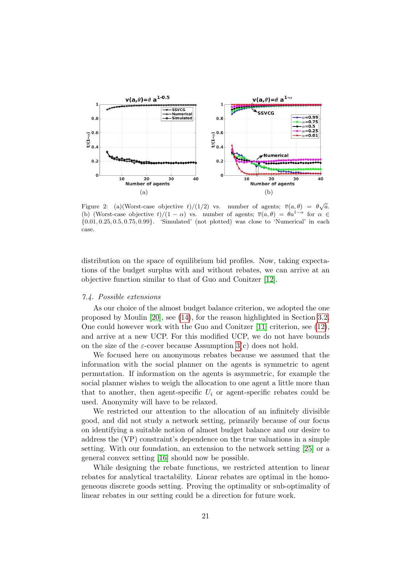

<span id="page-20-1"></span><span id="page-20-0"></span>Figure 2: (a)(Worst-case objective  $t)/(1/2)$  vs. number of agents;  $\overline{v}(a,\theta) = \theta \sqrt{a}$ . (b) (Worst-case objective  $t)/(1-\alpha)$  vs. number of agents;  $\overline{v}(a,\theta) = \theta a^{1-\alpha}$  for  $\alpha \in$ {0.01, 0.25, 0.5, 0.75, 0.99}. 'Simulated' (not plotted) was close to 'Numerical' in each case.

distribution on the space of equilibrium bid profiles. Now, taking expectations of the budget surplus with and without rebates, we can arrive at an objective function similar to that of Guo and Conitzer [\[12\]](#page-29-12).

## <span id="page-20-2"></span>7.4. Possible extensions

As our choice of the almost budget balance criterion, we adopted the one proposed by Moulin [\[20\]](#page-29-5), see [\(14\)](#page-9-2), for the reason highlighted in Section [3.2.](#page-8-2) One could however work with the Guo and Conitzer [\[11\]](#page-28-3) criterion, see [\(12\)](#page-8-3), and arrive at a new UCP. For this modified UCP, we do not have bounds on the size of the  $\varepsilon$ -cover because Assumption [3\(](#page-15-2)c) does not hold.

We focused here on anonymous rebates because we assumed that the information with the social planner on the agents is symmetric to agent permutation. If information on the agents is asymmetric, for example the social planner wishes to weigh the allocation to one agent a little more than that to another, then agent-specific  $U_i$  or agent-specific rebates could be used. Anonymity will have to be relaxed.

We restricted our attention to the allocation of an infinitely divisible good, and did not study a network setting, primarily because of our focus on identifying a suitable notion of almost budget balance and our desire to address the (VP) constraint's dependence on the true valuations in a simple setting. With our foundation, an extension to the network setting [\[25\]](#page-29-0) or a general convex setting [\[16\]](#page-29-1) should now be possible.

While designing the rebate functions, we restricted attention to linear rebates for analytical tractability. Linear rebates are optimal in the homogeneous discrete goods setting. Proving the optimality or sub-optimality of linear rebates in our setting could be a direction for future work.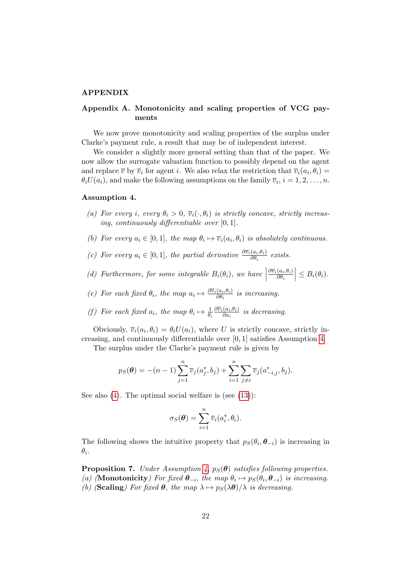#### APPENDIX

# <span id="page-21-0"></span>Appendix A. Monotonicity and scaling properties of VCG payments

We now prove monotonicity and scaling properties of the surplus under Clarke's payment rule, a result that may be of independent interest.

We consider a slightly more general setting than that of the paper. We now allow the surrogate valuation function to possibly depend on the agent and replace  $\overline{v}$  by  $\overline{v}_i$  for agent i. We also relax the restriction that  $\overline{v}_i(a_i, \theta_i) =$  $\theta_i U(a_i)$ , and make the following assumptions on the family  $\overline{v}_i$ ,  $i = 1, 2, \ldots, n$ .

#### <span id="page-21-2"></span>Assumption 4.

- (a) For every i, every  $\theta_i > 0$ ,  $\overline{v}_i(\cdot, \theta_i)$  is strictly concave, strictly increasing, continuously differentiable over [0, 1].
- (b) For every  $a_i \in [0,1]$ , the map  $\theta_i \mapsto \overline{v}_i(a_i,\theta_i)$  is absolutely continuous.
- (c) For every  $a_i \in [0,1]$ , the partial derivative  $\frac{\partial \overline{v}_i(a_i,\theta_i)}{\partial \theta_i}$  exists.
- (d) Furthermore, for some integrable  $B_i(\theta_i)$ , we have  $\partial \overline{v}_i(a_i,\theta_i)$  $\partial \theta_i$  $\Big|\leq B_i(\theta_i).$
- (e) For each fixed  $\theta_i$ , the map  $a_i \mapsto \frac{\partial \overline{v}_i(a_i, \theta_i)}{\partial \theta_i}$  is increasing.
- (f) For each fixed  $a_i$ , the map  $\theta_i \mapsto \frac{1}{\theta_i}$  $\partial \overline{v}_i(a_i,\theta_i)$  $\frac{\partial a_i, \theta_i}{\partial a_i}$  is decreasing.

Obviously,  $\overline{v}_i(a_i, \theta_i) = \theta_i U(a_i)$ , where U is strictly concave, strictly increasing, and continuously differentiable over [0, 1] satisfies Assumption [4.](#page-21-2)

The surplus under the Clarke's payment rule is given by

$$
p_S(\theta) = -(n-1)\sum_{j=1}^n \overline{v}_j(a_j^*, b_j) + \sum_{i=1}^n \sum_{j \neq i} \overline{v}_j(a_{-i,j}^*, b_j).
$$

See also  $(4)$ . The optimal social welfare is (see  $(13)$ ):

$$
\sigma_S(\boldsymbol{\theta}) = \sum_{i=1}^n \overline{v}_i(a_i^*, \theta_i).
$$

The following shows the intuitive property that  $p_S(\theta_i, \theta_{-i})$  is increasing in  $\theta_i.$ 

<span id="page-21-1"></span>**Proposition 7.** Under Assumption [4,](#page-21-2)  $p_S(\theta)$  satisfies following properties. (a) (**Monotonicity**) For fixed  $\theta_{-i}$ , the map  $\theta_i \mapsto p_S(\theta_i, \theta_{-i})$  is increasing. (b) (Scaling) For fixed  $\theta$ , the map  $\lambda \mapsto p_S(\lambda \theta)/\lambda$  is decreasing.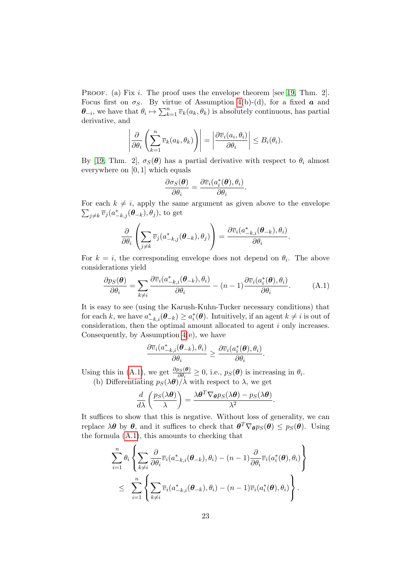PROOF. (a) Fix *i*. The proof uses the envelope theorem [see [19,](#page-29-13) Thm. 2]. Focus first on  $\sigma_S$ . By virtue of Assumption [4\(](#page-21-2)b)-(d), for a fixed **a** and  $\theta_{-i}$ , we have that  $\theta_i \mapsto \sum_{k=1}^n \overline{v}_k(a_k, \theta_k)$  is absolutely continuous, has partial derivative, and

$$
\left|\frac{\partial}{\partial \theta_i}\left(\sum_{k=1}^n \overline{v}_k(a_k,\theta_k)\right)\right| = \left|\frac{\partial \overline{v}_i(a_i,\theta_i)}{\partial \theta_i}\right| \leq B_i(\theta_i).
$$

By [\[19,](#page-29-13) Thm. 2],  $\sigma_S(\theta)$  has a partial derivative with respect to  $\theta_i$  almost everywhere on [0, 1] which equals

$$
\frac{\partial \sigma_S(\boldsymbol{\theta})}{\partial \theta_i} = \frac{\partial \overline{v}_i(a_i^*(\boldsymbol{\theta}), \theta_i)}{\partial \theta_i}.
$$

 $\sum_{j\neq k} \overline{v}_j(a^*_{-k,j}(\boldsymbol{\theta}_{-k}), \theta_j)$ , to get For each  $k \neq i$ , apply the same argument as given above to the envelope

<span id="page-22-0"></span>
$$
\frac{\partial}{\partial \theta_i}\left(\sum_{j\neq k} \overline{v}_j(a_{-k,j}^*(\boldsymbol{\theta}_{-k}),\theta_j)\right) = \frac{\partial \overline{v}_i(a_{-k,i}^*(\boldsymbol{\theta}_{-k}),\theta_i)}{\partial \theta_i}.
$$

For  $k = i$ , the corresponding envelope does not depend on  $\theta_i$ . The above considerations yield

$$
\frac{\partial p_S(\boldsymbol{\theta})}{\partial \theta_i} = \sum_{k \neq i} \frac{\partial \overline{v}_i(a^*_{-k,i}(\boldsymbol{\theta}_{-k}), \theta_i)}{\partial \theta_i} - (n-1) \frac{\partial \overline{v}_i(a^*_i(\boldsymbol{\theta}), \theta_i)}{\partial \theta_i}.
$$
 (A.1)

It is easy to see (using the Karush-Kuhn-Tucker necessary conditions) that for each k, we have  $a_{-k,i}^*(\theta_{-k}) \ge a_i^*(\theta)$ . Intuitively, if an agent  $k \ne i$  is out of consideration, then the optimal amount allocated to agent i only increases. Consequently, by Assumption [4\(](#page-21-2)e), we have

$$
\frac{\partial \overline{v}_i(a_{-k,i}^*(\boldsymbol{\theta}_{-k}), \theta_i)}{\partial \theta_i} \geq \frac{\partial \overline{v}_i(a_i^*(\boldsymbol{\theta}), \theta_i)}{\partial \theta_i}.
$$

Using this in [\(A.1\)](#page-22-0), we get  $\frac{\partial p_S(\theta)}{\partial \theta_i} \geq 0$ , i.e.,  $p_S(\theta)$  is increasing in  $\theta_i$ . (b) Differentiating  $p_S(\lambda \theta)/\lambda$  with respect to  $\lambda$ , we get

$$
\frac{d}{d\lambda}\left(\frac{p_S(\lambda\boldsymbol{\theta})}{\lambda}\right) = \frac{\lambda\boldsymbol{\theta}^T\nabla_{\boldsymbol{\theta}}p_S(\lambda\boldsymbol{\theta}) - p_S(\lambda\boldsymbol{\theta})}{\lambda^2}.
$$

It suffices to show that this is negative. Without loss of generality, we can replace  $\lambda \theta$  by  $\theta$ , and it suffices to check that  $\theta^T \nabla_{\theta} p_S(\theta) \leq p_S(\theta)$ . Using the formula [\(A.1\)](#page-22-0), this amounts to checking that

$$
\sum_{i=1}^n \theta_i \left\{ \sum_{k \neq i} \frac{\partial}{\partial \theta_i} \overline{v}_i (a_{-k,i}^*(\boldsymbol{\theta}_{-k}), \theta_i) - (n-1) \frac{\partial}{\partial \theta_i} \overline{v}_i (a_i^*(\boldsymbol{\theta}), \theta_i) \right\} \n\leq \sum_{i=1}^n \left\{ \sum_{k \neq i} \overline{v}_i (a_{-k,i}^*(\boldsymbol{\theta}_{-k}), \theta_i) - (n-1) \overline{v}_i (a_i^*(\boldsymbol{\theta}), \theta_i) \right\}.
$$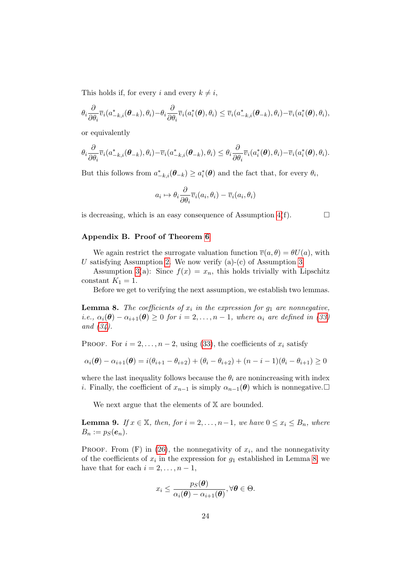This holds if, for every i and every  $k \neq i$ ,

$$
\theta_i \frac{\partial}{\partial \theta_i} \overline{v}_i(a_{-k,i}^*(\boldsymbol{\theta}_{-k}), \theta_i) - \theta_i \frac{\partial}{\partial \theta_i} \overline{v}_i(a_i^*(\boldsymbol{\theta}), \theta_i) \leq \overline{v}_i(a_{-k,i}^*(\boldsymbol{\theta}_{-k}), \theta_i) - \overline{v}_i(a_i^*(\boldsymbol{\theta}), \theta_i),
$$

or equivalently

$$
\theta_i \frac{\partial}{\partial \theta_i} \overline{v}_i(a_{-k,i}^*(\boldsymbol{\theta}_{-k}), \theta_i) - \overline{v}_i(a_{-k,i}^*(\boldsymbol{\theta}_{-k}), \theta_i) \leq \theta_i \frac{\partial}{\partial \theta_i} \overline{v}_i(a_i^*(\boldsymbol{\theta}), \theta_i) - \overline{v}_i(a_i^*(\boldsymbol{\theta}), \theta_i).
$$

But this follows from  $a_{-k,i}^*(\theta_{-k}) \ge a_i^*(\theta)$  and the fact that, for every  $\theta_i$ ,

$$
a_i \mapsto \theta_i \frac{\partial}{\partial \theta_i} \overline{v}_i(a_i, \theta_i) - \overline{v}_i(a_i, \theta_i)
$$

is decreasing, which is an easy consequence of Assumption  $4(f)$ .

# <span id="page-23-0"></span>Appendix B. Proof of Theorem [6](#page-17-0)

We again restrict the surrogate valuation function  $\overline{v}(a, \theta) = \theta U(a)$ , with U satisfying Assumption [2.](#page-6-2) We now verify  $(a)-(c)$  of Assumption [3.](#page-15-2)

Assumption [3\(](#page-15-2)a): Since  $f(x) = x_n$ , this holds trivially with Lipschitz constant  $K_1 = 1$ .

Before we get to verifying the next assumption, we establish two lemmas.

<span id="page-23-1"></span>**Lemma 8.** The coefficients of  $x_i$  in the expression for  $g_1$  are nonnegative, i.e.,  $\alpha_i(\boldsymbol{\theta}) - \alpha_{i+1}(\boldsymbol{\theta}) \geq 0$  for  $i = 2, \ldots, n-1$ , where  $\alpha_i$  are defined in [\(33\)](#page-17-1) and [\(34\)](#page-17-1).

PROOF. For  $i = 2, \ldots, n-2$ , using [\(33\)](#page-17-1), the coefficients of  $x_i$  satisfy

$$
\alpha_i(\boldsymbol{\theta}) - \alpha_{i+1}(\boldsymbol{\theta}) = i(\theta_{i+1} - \theta_{i+2}) + (\theta_i - \theta_{i+2}) + (n - i - 1)(\theta_i - \theta_{i+1}) \ge 0
$$

where the last inequality follows because the  $\theta_i$  are nonincreasing with index *i*. Finally, the coefficient of  $x_{n-1}$  is simply  $\alpha_{n-1}(\boldsymbol{\theta})$  which is nonnegative. □

We next argue that the elements of  $X$  are bounded.

<span id="page-23-2"></span>**Lemma 9.** If  $x \in \mathbb{X}$ , then, for  $i = 2, \ldots, n-1$ , we have  $0 \le x_i \le B_n$ , where  $B_n := p_S(e_n).$ 

PROOF. From  $(F)$  in  $(26)$ , the nonnegativity of  $x_i$ , and the nonnegativity of the coefficients of  $x_i$  in the expression for  $g_1$  established in Lemma [8,](#page-23-1) we have that for each  $i = 2, \ldots, n - 1$ ,

$$
x_i \leq \frac{p_S(\boldsymbol{\theta})}{\alpha_i(\boldsymbol{\theta}) - \alpha_{i+1}(\boldsymbol{\theta})}, \forall \boldsymbol{\theta} \in \Theta.
$$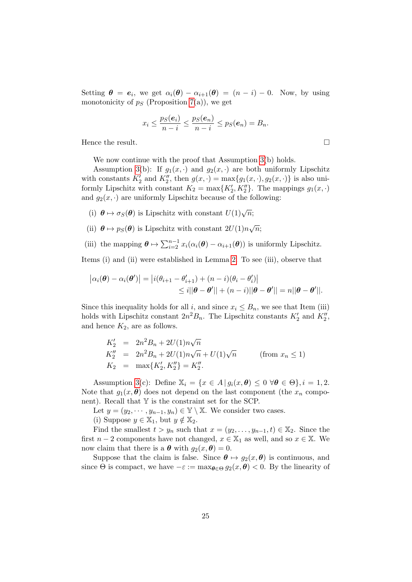Setting  $\theta = e_i$ , we get  $\alpha_i(\theta) - \alpha_{i+1}(\theta) = (n - i) - 0$ . Now, by using monotonicity of  $p<sub>S</sub>$  (Proposition [7\(](#page-21-1)a)), we get

$$
x_i \leq \frac{p_S(e_i)}{n-i} \leq \frac{p_S(e_n)}{n-i} \leq p_S(e_n) = B_n.
$$

Hence the result.

We now continue with the proof that Assumption [3\(](#page-15-2)b) holds.

Assumption [3\(](#page-15-2)b): If  $g_1(x, \cdot)$  and  $g_2(x, \cdot)$  are both uniformly Lipschitz with constants  $K_2'$  and  $K_2''$ , then  $g(x, \cdot) = \max\{g_1(x, \cdot), g_2(x, \cdot)\}\)$  is also uniformly Lipschitz with constant  $K_2 = \max\{K'_2, K''_2\}$ . The mappings  $g_1(x, \cdot)$ and  $g_2(x, \cdot)$  are uniformly Lipschitz because of the following:

- (i)  $\theta \mapsto \sigma_S(\theta)$  is Lipschitz with constant  $U(1)\sqrt{n}$ ;
- (ii)  $\theta \mapsto p_S(\theta)$  is Lipschitz with constant  $2U(1)n\sqrt{n}$ ;
- (iii) the mapping  $\boldsymbol{\theta} \mapsto \sum_{i=2}^{n-1} x_i(\alpha_i(\boldsymbol{\theta}) \alpha_{i+1}(\boldsymbol{\theta}))$  is uniformly Lipschitz.

Items (i) and (ii) were established in Lemma [2.](#page-10-1) To see (iii), observe that

$$
|\alpha_i(\boldsymbol{\theta}) - \alpha_i(\boldsymbol{\theta}')| = |i(\theta_{i+1} - \theta'_{i+1}) + (n - i)(\theta_i - \theta'_i)|
$$
  
\n
$$
\leq i||\boldsymbol{\theta} - \boldsymbol{\theta}'|| + (n - i)||\boldsymbol{\theta} - \boldsymbol{\theta}'|| = n||\boldsymbol{\theta} - \boldsymbol{\theta}'||.
$$

Since this inequality holds for all i, and since  $x_i \leq B_n$ , we see that Item (iii) holds with Lipschitz constant  $2n^2B_n$ . The Lipschitz constants  $K'_2$  and  $K''_2$ , and hence  $K_2$ , are as follows.

$$
K_2' = 2n^2 B_n + 2U(1)n\sqrt{n}
$$
  
\n
$$
K_2'' = 2n^2 B_n + 2U(1)n\sqrt{n} + U(1)\sqrt{n}
$$
 (from  $x_n \le 1$ )  
\n
$$
K_2 = \max\{K_2', K_2''\} = K_2''.
$$

Assumption [3\(](#page-15-2)c): Define  $\mathbb{X}_i = \{x \in A \mid g_i(x, \theta) \leq 0 \; \forall \theta \in \Theta\}, i = 1, 2$ . Note that  $g_1(x, \theta)$  does not depend on the last component (the  $x_n$  component). Recall that  $Y$  is the constraint set for the SCP.

Let  $y = (y_2, \dots, y_{n-1}, y_n) \in \mathbb{Y} \setminus \mathbb{X}$ . We consider two cases.

(i) Suppose  $y \in \mathbb{X}_1$ , but  $y \notin \mathbb{X}_2$ .

Find the smallest  $t > y_n$  such that  $x = (y_2, \ldots, y_{n-1}, t) \in \mathbb{X}_2$ . Since the first  $n-2$  components have not changed,  $x \in \mathbb{X}_1$  as well, and so  $x \in \mathbb{X}$ . We now claim that there is a  $\boldsymbol{\theta}$  with  $g_2(x, \boldsymbol{\theta}) = 0$ .

Suppose that the claim is false. Since  $\theta \mapsto q_2(x, \theta)$  is continuous, and since  $\Theta$  is compact, we have  $-\varepsilon := \max_{\theta \in \Theta} g_2(x, \theta) < 0$ . By the linearity of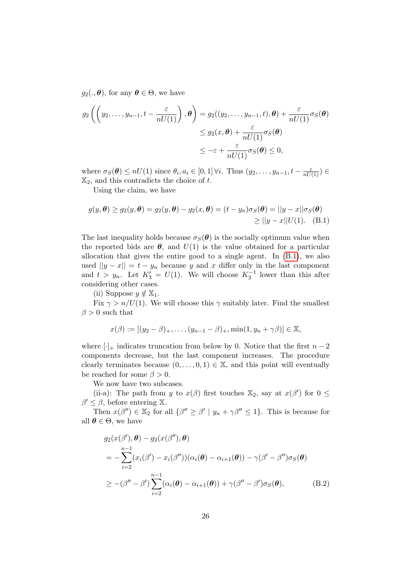$g_2(.,\boldsymbol{\theta}),$  for any  $\boldsymbol{\theta} \in \Theta$ , we have

$$
g_2\left(\left(y_2,\ldots,y_{n-1},t-\frac{\varepsilon}{nU(1)}\right),\theta\right)=g_2((y_2,\ldots,y_{n-1},t),\theta)+\frac{\varepsilon}{nU(1)}\sigma_S(\theta)
$$

$$
\leq g_2(x,\theta)+\frac{\varepsilon}{nU(1)}\sigma_S(\theta)
$$

$$
\leq -\varepsilon+\frac{\varepsilon}{nU(1)}\sigma_S(\theta)\leq 0,
$$

where  $\sigma_S(\boldsymbol{\theta}) \le nU(1)$  since  $\theta_i, a_i \in [0,1]$   $\forall i$ . Thus  $(y_2, \ldots, y_{n-1}, t - \frac{\varepsilon}{nU(1)}) \in$  $\mathbb{X}_2$ , and this contradicts the choice of t.

<span id="page-25-0"></span>Using the claim, we have

$$
g(y, \theta) \ge g_2(y, \theta) = g_2(y, \theta) - g_2(x, \theta) = (t - y_n)\sigma_S(\theta) = ||y - x||\sigma_S(\theta)
$$
  
\n
$$
\ge ||y - x||U(1). \quad (B.1)
$$

The last inequality holds because  $\sigma_S(\theta)$  is the socially optimum value when the reported bids are  $\theta$ , and  $U(1)$  is the value obtained for a particular allocation that gives the entire good to a single agent. In [\(B.1\)](#page-25-0), we also used  $||y - x|| = t - y_n$  because y and x differ only in the last component and  $t > y_n$ . Let  $K'_3 = U(1)$ . We will choose  $K_3^{-1}$  lower than this after considering other cases.

(ii) Suppose  $y \notin \mathbb{X}_1$ .

Fix  $\gamma > n/U(1)$ . We will choose this  $\gamma$  suitably later. Find the smallest  $\beta > 0$  such that

$$
x(\beta) := [(y_2 - \beta)_{+}, \ldots, (y_{n-1} - \beta)_{+}, \min(1, y_n + \gamma \beta)] \in \mathbb{X},
$$

where  $[\cdot]_+$  indicates truncation from below by 0. Notice that the first  $n-2$ components decrease, but the last component increases. The procedure clearly terminates because  $(0, \ldots, 0, 1) \in \mathbb{X}$ , and this point will eventually be reached for some  $\beta > 0$ .

We now have two subcases.

(ii-a): The path from y to  $x(\beta)$  first touches  $\mathbb{X}_2$ , say at  $x(\beta')$  for  $0 \leq$  $\beta' \leq \beta$ , before entering X.

Then  $x(\beta'') \in \mathbb{X}_2$  for all  $\{\beta'' \geq \beta' \mid y_n + \gamma \beta'' \leq 1\}$ . This is because for all  $\theta \in \Theta$ , we have

<span id="page-25-1"></span>
$$
g_2(x(\beta'), \theta) - g_2(x(\beta''), \theta)
$$
  
= 
$$
-\sum_{i=2}^{n-1} (x_i(\beta') - x_i(\beta''))(\alpha_i(\theta) - \alpha_{i+1}(\theta)) - \gamma(\beta' - \beta'')\sigma_S(\theta)
$$
  

$$
\geq -(\beta'' - \beta')\sum_{i=2}^{n-1} (\alpha_i(\theta) - \alpha_{i+1}(\theta)) + \gamma(\beta'' - \beta')\sigma_S(\theta),
$$
 (B.2)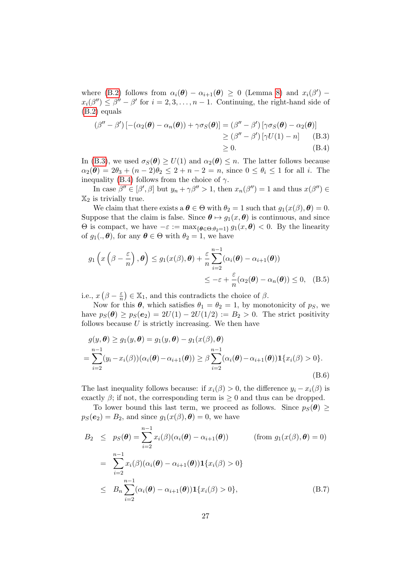where [\(B.2\)](#page-25-1) follows from  $\alpha_i(\theta) - \alpha_{i+1}(\theta) \geq 0$  (Lemma [8\)](#page-23-1) and  $x_i(\beta')$  –  $x_i(\beta'') \leq \beta'' - \beta'$  for  $i = 2, 3, ..., n - 1$ . Continuing, the right-hand side of [\(B.2\)](#page-25-1) equals

<span id="page-26-2"></span><span id="page-26-0"></span>
$$
(\beta'' - \beta') \left[ -(\alpha_2(\boldsymbol{\theta}) - \alpha_n(\boldsymbol{\theta})) + \gamma \sigma_S(\boldsymbol{\theta}) \right] = (\beta'' - \beta') \left[ \gamma \sigma_S(\boldsymbol{\theta}) - \alpha_2(\boldsymbol{\theta}) \right] \\
\geq (\beta'' - \beta') \left[ \gamma U(1) - n \right] \quad \text{(B.3)} \\
\geq 0. \quad \text{(B.4)}
$$

In [\(B.3\)](#page-26-0), we used  $\sigma_S(\theta) \ge U(1)$  and  $\alpha_2(\theta) \le n$ . The latter follows because  $\alpha_2(\theta) = 2\theta_3 + (n-2)\theta_2 \leq 2 + n - 2 = n$ , since  $0 \leq \theta_i \leq 1$  for all *i*. The inequality [\(B.4\)](#page-26-2) follows from the choice of  $\gamma$ .

In case  $\beta'' \in [\beta', \beta]$  but  $y_n + \gamma \beta'' > 1$ , then  $x_n(\beta'') = 1$  and thus  $x(\beta'') \in \beta'$  $\mathbb{X}_2$  is trivially true.

We claim that there exists a  $\theta \in \Theta$  with  $\theta_2 = 1$  such that  $g_1(x(\beta), \theta) = 0$ . Suppose that the claim is false. Since  $\theta \mapsto g_1(x, \theta)$  is continuous, and since  $Θ$  is compact, we have  $-ε := max{θ ∈ Θ:θ<sub>2</sub>=1} g_1(x, θ) < 0$ . By the linearity of  $g_1(.,\boldsymbol{\theta})$ , for any  $\boldsymbol{\theta} \in \Theta$  with  $\theta_2 = 1$ , we have

$$
g_1\left(x\left(\beta-\frac{\varepsilon}{n}\right),\theta\right) \le g_1(x(\beta),\theta) + \frac{\varepsilon}{n} \sum_{i=2}^{n-1} (\alpha_i(\theta) - \alpha_{i+1}(\theta))
$$
  

$$
\le -\varepsilon + \frac{\varepsilon}{n} (\alpha_2(\theta) - \alpha_n(\theta)) \le 0, \quad (B.5)
$$

i.e.,  $x\left(\beta-\frac{\varepsilon}{n}\right)$  $(\frac{\varepsilon}{n}) \in \mathbb{X}_1$ , and this contradicts the choice of  $\beta$ .

Now for this  $\theta$ , which satisfies  $\theta_1 = \theta_2 = 1$ , by monotonicity of  $p_S$ , we have  $p_S(\theta) \ge p_S(e_2) = 2U(1) - 2U(1/2) := B_2 > 0$ . The strict positivity follows because  $U$  is strictly increasing. We then have

<span id="page-26-3"></span>
$$
g(y, \theta) \ge g_1(y, \theta) = g_1(y, \theta) - g_1(x(\beta), \theta)
$$
  
= 
$$
\sum_{i=2}^{n-1} (y_i - x_i(\beta)) (\alpha_i(\theta) - \alpha_{i+1}(\theta)) \ge \beta \sum_{i=2}^{n-1} (\alpha_i(\theta) - \alpha_{i+1}(\theta)) \mathbf{1} \{x_i(\beta) > 0\}.
$$
  
(B.6)

The last inequality follows because: if  $x_i(\beta) > 0$ , the difference  $y_i - x_i(\beta)$  is exactly  $\beta$ ; if not, the corresponding term is  $\geq 0$  and thus can be dropped.

To lower bound this last term, we proceed as follows. Since  $p_S(\theta) \geq$  $p_S(e_2) = B_2$ , and since  $g_1(x(\beta), \theta) = 0$ , we have

<span id="page-26-1"></span>
$$
B_2 \leq p_S(\boldsymbol{\theta}) = \sum_{i=2}^{n-1} x_i(\beta)(\alpha_i(\boldsymbol{\theta}) - \alpha_{i+1}(\boldsymbol{\theta})) \qquad \text{(from } g_1(x(\beta), \boldsymbol{\theta}) = 0)
$$
  
= 
$$
\sum_{i=2}^{n-1} x_i(\beta)(\alpha_i(\boldsymbol{\theta}) - \alpha_{i+1}(\boldsymbol{\theta})) \mathbf{1}\{x_i(\beta) > 0\}
$$
  

$$
\leq B_n \sum_{i=2}^{n-1} (\alpha_i(\boldsymbol{\theta}) - \alpha_{i+1}(\boldsymbol{\theta})) \mathbf{1}\{x_i(\beta) > 0\}, \qquad (B.7)
$$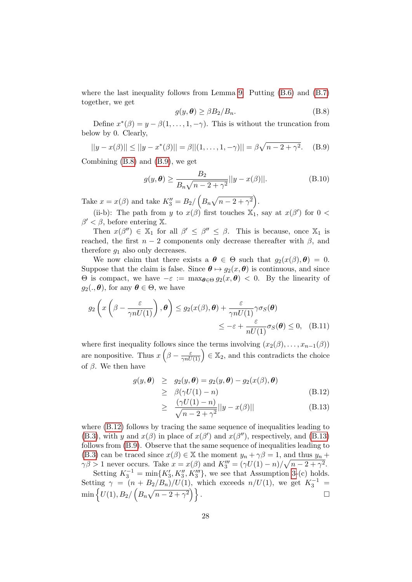where the last inequality follows from Lemma [9.](#page-23-2) Putting [\(B.6\)](#page-26-3) and [\(B.7\)](#page-26-1) together, we get

<span id="page-27-1"></span><span id="page-27-0"></span>
$$
g(y,\boldsymbol{\theta}) \ge \beta B_2/B_n. \tag{B.8}
$$

Define  $x^*(\beta) = y - \beta(1, \ldots, 1, -\gamma)$ . This is without the truncation from below by 0. Clearly,

$$
||y - x(\beta)|| \le ||y - x^*(\beta)|| = \beta ||(1, ..., 1, -\gamma)|| = \beta \sqrt{n - 2 + \gamma^2}.
$$
 (B.9)

Combining [\(B.8\)](#page-27-0) and [\(B.9\)](#page-27-1), we get

$$
g(y, \theta) \ge \frac{B_2}{B_n \sqrt{n-2+\gamma^2}} ||y - x(\beta)||. \tag{B.10}
$$

Take  $x = x(\beta)$  and take  $K_3'' = B_2 / (B_n \sqrt{n-2 + \gamma^2}).$ 

(ii-b): The path from y to  $x(\beta)$  first touches  $\mathbb{X}_1$ , say at  $x(\beta')$  for  $0 <$  $\beta' < \beta$ , before entering X.

Then  $x(\beta'') \in \mathbb{X}_1$  for all  $\beta' \leq \beta'' \leq \beta$ . This is because, once  $\mathbb{X}_1$  is reached, the first  $n-2$  components only decrease thereafter with  $\beta$ , and therefore  $q_1$  also only decreases.

We now claim that there exists a  $\theta \in \Theta$  such that  $g_2(x(\beta), \theta) = 0$ . Suppose that the claim is false. Since  $\theta \mapsto g_2(x, \theta)$  is continuous, and since  $Θ$  is compact, we have  $-ε := max_{θ ∈ Θ} g_2(x, θ) < 0$ . By the linearity of  $g_2(.,\boldsymbol{\theta}),$  for any  $\boldsymbol{\theta} \in \Theta$ , we have

$$
g_2\left(x\left(\beta - \frac{\varepsilon}{\gamma nU(1)}\right), \theta\right) \le g_2(x(\beta), \theta) + \frac{\varepsilon}{\gamma nU(1)}\gamma\sigma_S(\theta)
$$
  

$$
\le -\varepsilon + \frac{\varepsilon}{nU(1)}\sigma_S(\theta) \le 0, \quad \text{(B.11)}
$$

where first inequality follows since the terms involving  $(x_2(\beta), \ldots, x_{n-1}(\beta))$ are nonpositive. Thus  $x\left(\beta-\frac{\varepsilon}{\gamma nU(1)}\right)\in\mathbb{X}_2$ , and this contradicts the choice of  $\beta$ . We then have

<span id="page-27-2"></span>
$$
g(y, \theta) \ge g_2(y, \theta) = g_2(y, \theta) - g_2(x(\beta), \theta)
$$
  
\n
$$
\ge \beta(\gamma U(1) - n)
$$
 (B.12)

$$
\geq \frac{(\gamma U(1) - n)}{\sqrt{n - 2 + \gamma^2}} ||y - x(\beta)|| \tag{B.13}
$$

where  $(B.12)$  follows by tracing the same sequence of inequalities leading to [\(B.3\)](#page-26-0), with y and  $x(\beta)$  in place of  $x(\beta')$  and  $x(\beta'')$ , respectively, and [\(B.13\)](#page-27-2) follows from [\(B.9\)](#page-27-1). Observe that the same sequence of inequalities leading to [\(B.3\)](#page-26-0) can be traced since  $x(\beta) \in \mathbb{X}$  the moment  $y_n + \gamma \beta = 1$ , and thus  $y_n + \gamma \beta = 1$  $\gamma \beta > 1$  never occurs. Take  $x = x(\beta)$  and  $K_3''' = (\gamma U(1) - n)/\sqrt{n-2+\gamma^2}$ .

Setting  $K_3^{-1} = \min\{K'_3, K''_3, K'''_3\}$ , we see that Assumption [3-](#page-15-2)(c) holds. Setting  $\gamma = (n + B_2/B_n)/U(1)$ , which exceeds  $n/U(1)$ , we get  $K_3^{-1}$ min  $\left\{ U(1), B_2 \right / \left( B_n \sqrt{n-2 + \gamma^2} \right) \right\}$ .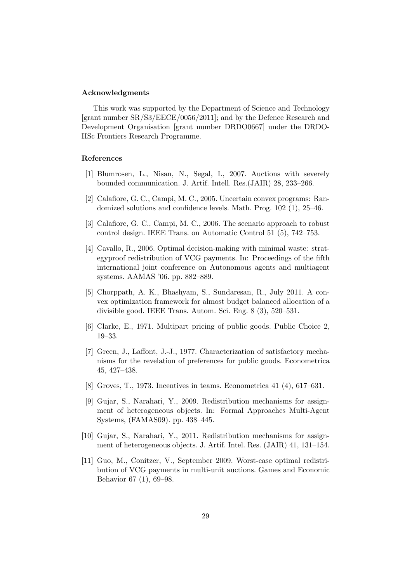#### Acknowledgments

This work was supported by the Department of Science and Technology [grant number SR/S3/EECE/0056/2011]; and by the Defence Research and Development Organisation [grant number DRDO0667] under the DRDO-IISc Frontiers Research Programme.

# References

- <span id="page-28-7"></span>[1] Blumrosen, L., Nisan, N., Segal, I., 2007. Auctions with severely bounded communication. J. Artif. Intell. Res.(JAIR) 28, 233–266.
- <span id="page-28-8"></span>[2] Calafiore, G. C., Campi, M. C., 2005. Uncertain convex programs: Randomized solutions and confidence levels. Math. Prog. 102 (1), 25–46.
- <span id="page-28-10"></span>[3] Calafiore, G. C., Campi, M. C., 2006. The scenario approach to robust control design. IEEE Trans. on Automatic Control 51 (5), 742–753.
- <span id="page-28-9"></span>[4] Cavallo, R., 2006. Optimal decision-making with minimal waste: strategyproof redistribution of VCG payments. In: Proceedings of the fifth international joint conference on Autonomous agents and multiagent systems. AAMAS '06. pp. 882–889.
- <span id="page-28-6"></span>[5] Chorppath, A. K., Bhashyam, S., Sundaresan, R., July 2011. A convex optimization framework for almost budget balanced allocation of a divisible good. IEEE Trans. Autom. Sci. Eng. 8 (3), 520–531.
- <span id="page-28-0"></span>[6] Clarke, E., 1971. Multipart pricing of public goods. Public Choice 2, 19–33.
- <span id="page-28-2"></span>[7] Green, J., Laffont, J.-J., 1977. Characterization of satisfactory mechanisms for the revelation of preferences for public goods. Econometrica 45, 427–438.
- <span id="page-28-1"></span>[8] Groves, T., 1973. Incentives in teams. Econometrica 41 (4), 617–631.
- <span id="page-28-4"></span>[9] Gujar, S., Narahari, Y., 2009. Redistribution mechanisms for assignment of heterogeneous objects. In: Formal Approaches Multi-Agent Systems, (FAMAS09). pp. 438–445.
- <span id="page-28-5"></span>[10] Gujar, S., Narahari, Y., 2011. Redistribution mechanisms for assignment of heterogeneous objects. J. Artif. Intel. Res. (JAIR) 41, 131–154.
- <span id="page-28-3"></span>[11] Guo, M., Conitzer, V., September 2009. Worst-case optimal redistribution of VCG payments in multi-unit auctions. Games and Economic Behavior 67 (1), 69–98.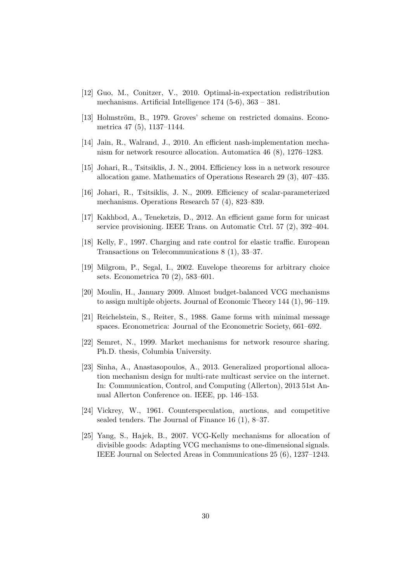- <span id="page-29-12"></span>[12] Guo, M., Conitzer, V., 2010. Optimal-in-expectation redistribution mechanisms. Artificial Intelligence 174 (5-6), 363 – 381.
- <span id="page-29-11"></span>[13] Holmström, B., 1979. Groves' scheme on restricted domains. Econometrica 47 (5), 1137–1144.
- <span id="page-29-8"></span>[14] Jain, R., Walrand, J., 2010. An efficient nash-implementation mechanism for network resource allocation. Automatica 46 (8), 1276–1283.
- <span id="page-29-4"></span>[15] Johari, R., Tsitsiklis, J. N., 2004. Efficiency loss in a network resource allocation game. Mathematics of Operations Research 29 (3), 407–435.
- <span id="page-29-1"></span>[16] Johari, R., Tsitsiklis, J. N., 2009. Efficiency of scalar-parameterized mechanisms. Operations Research 57 (4), 823–839.
- <span id="page-29-9"></span>[17] Kakhbod, A., Teneketzis, D., 2012. An efficient game form for unicast service provisioning. IEEE Trans. on Automatic Ctrl. 57 (2), 392–404.
- <span id="page-29-3"></span>[18] Kelly, F., 1997. Charging and rate control for elastic traffic. European Transactions on Telecommunications 8 (1), 33–37.
- <span id="page-29-13"></span>[19] Milgrom, P., Segal, I., 2002. Envelope theorems for arbitrary choice sets. Econometrica 70 (2), 583–601.
- <span id="page-29-5"></span>[20] Moulin, H., January 2009. Almost budget-balanced VCG mechanisms to assign multiple objects. Journal of Economic Theory 144 (1), 96–119.
- <span id="page-29-6"></span>[21] Reichelstein, S., Reiter, S., 1988. Game forms with minimal message spaces. Econometrica: Journal of the Econometric Society, 661–692.
- <span id="page-29-7"></span>[22] Semret, N., 1999. Market mechanisms for network resource sharing. Ph.D. thesis, Columbia University.
- <span id="page-29-10"></span>[23] Sinha, A., Anastasopoulos, A., 2013. Generalized proportional allocation mechanism design for multi-rate multicast service on the internet. In: Communication, Control, and Computing (Allerton), 2013 51st Annual Allerton Conference on. IEEE, pp. 146–153.
- <span id="page-29-2"></span>[24] Vickrey, W., 1961. Counterspeculation, auctions, and competitive sealed tenders. The Journal of Finance 16 (1), 8–37.
- <span id="page-29-0"></span>[25] Yang, S., Hajek, B., 2007. VCG-Kelly mechanisms for allocation of divisible goods: Adapting VCG mechanisms to one-dimensional signals. IEEE Journal on Selected Areas in Communications 25 (6), 1237–1243.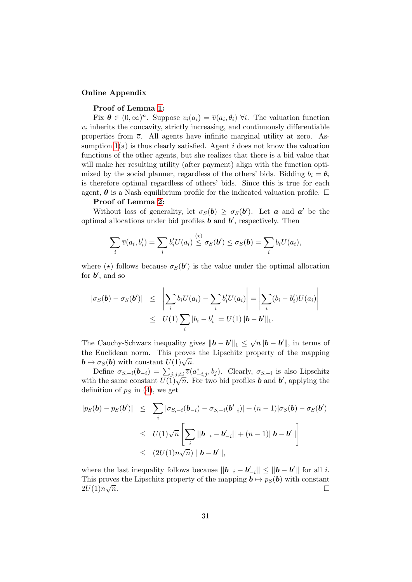## Online Appendix

# Proof of Lemma [1:](#page-10-0)

Fix  $\boldsymbol{\theta} \in (0,\infty)^n$ . Suppose  $v_i(a_i) = \overline{v}(a_i,\theta_i)$   $\forall i$ . The valuation function  $v_i$  inherits the concavity, strictly increasing, and continuously differentiable properties from  $\overline{v}$ . All agents have infinite marginal utility at zero. Assumption  $1(a)$  is thus clearly satisfied. Agent i does not know the valuation functions of the other agents, but she realizes that there is a bid value that will make her resulting utility (after payment) align with the function optimized by the social planner, regardless of the others' bids. Bidding  $b_i = \theta_i$ is therefore optimal regardless of others' bids. Since this is true for each agent,  $\theta$  is a Nash equilibrium profile for the indicated valuation profile.  $\Box$ 

# Proof of Lemma [2:](#page-10-1)

Without loss of generality, let  $\sigma_S(b) \geq \sigma_S(b')$ . Let **a** and **a**' be the optimal allocations under bid profiles  $\boldsymbol{b}$  and  $\boldsymbol{b}'$ , respectively. Then

$$
\sum_i \overline{v}(a_i, b'_i) = \sum_i b'_i U(a_i) \stackrel{(\star)}{\leq} \sigma_S(\boldsymbol{b}') \leq \sigma_S(\boldsymbol{b}) = \sum_i b_i U(a_i),
$$

where ( $\star$ ) follows because  $\sigma_S(b')$  is the value under the optimal allocation for  $b'$ , and so

$$
|\sigma_S(\mathbf{b}) - \sigma_S(\mathbf{b}')| \leq \left| \sum_i b_i U(a_i) - \sum_i b'_i U(a_i) \right| = \left| \sum_i (b_i - b'_i) U(a_i) \right|
$$
  

$$
\leq U(1) \sum_i |b_i - b'_i| = U(1) ||\mathbf{b} - \mathbf{b}'||_1.
$$

The Cauchy-Schwarz inequality gives  $||\boldsymbol{b} - \boldsymbol{b}'||_1 \leq \sqrt{n} ||\boldsymbol{b} - \boldsymbol{b}'||$ , in terms of the Euclidean norm. This proves the Lipschitz property of the mapping  $\mathbf{b} \mapsto \sigma_S(\mathbf{b})$  with constant  $U(1)\sqrt{n}$ .

Define  $\sigma_{S,-i}(\boldsymbol{b}_{-i}) = \sum_{j:j\neq i} \overline{v}(a_{-i,j}^*,b_j)$ . Clearly,  $\sigma_{S,-i}$  is also Lipschitz with the same constant  $U(1)\sqrt{n}$ . For two bid profiles **b** and **b'**, applying the definition of  $p<sub>S</sub>$  in [\(4\)](#page-6-1), we get

$$
|p_S(\mathbf{b}) - p_S(\mathbf{b}')| \leq \sum_i |\sigma_{S, -i}(\mathbf{b}_{-i}) - \sigma_{S, -i}(\mathbf{b}'_{-i})| + (n - 1)|\sigma_S(\mathbf{b}) - \sigma_S(\mathbf{b}')|
$$
  
\n
$$
\leq U(1)\sqrt{n}\left[\sum_i ||\mathbf{b}_{-i} - \mathbf{b}'_{-i}|| + (n - 1)||\mathbf{b} - \mathbf{b}'||\right]
$$
  
\n
$$
\leq (2U(1)n\sqrt{n}) ||\mathbf{b} - \mathbf{b}'||,
$$

where the last inequality follows because  $||\boldsymbol{b}_{-i} - \boldsymbol{b}'_{-i}|| \le ||\boldsymbol{b} - \boldsymbol{b}'||$  for all *i*. This proves the Lipschitz property of the mapping  $\mathbf{b} \mapsto p_S(\mathbf{b})$  with constant  $2U(1)n\sqrt{n}$ .  $2U(1) n\sqrt{}$  $\overline{n}$ .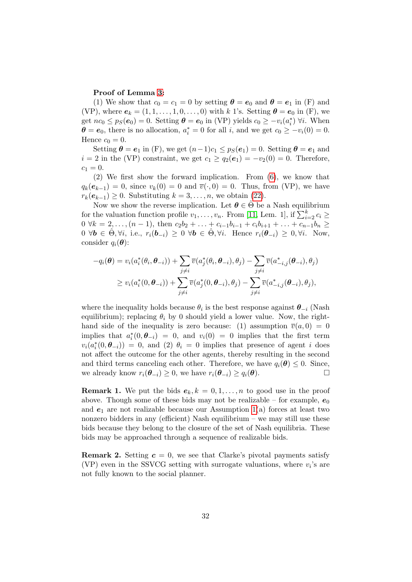# Proof of Lemma [3:](#page-11-2)

(1) We show that  $c_0 = c_1 = 0$  by setting  $\theta = e_0$  and  $\theta = e_1$  in (F) and (VP), where  $e_k = (1, 1, \ldots, 1, 0, \ldots, 0)$  with k 1's. Setting  $\theta = e_0$  in (F), we get  $nc_0 \leq p_S(e_0) = 0$ . Setting  $\boldsymbol{\theta} = \boldsymbol{e}_0$  in (VP) yields  $c_0 \geq -v_i(a_i^*) \forall i$ . When  $\boldsymbol{\theta} = \boldsymbol{e}_0$ , there is no allocation,  $a_i^* = 0$  for all i, and we get  $c_0 \ge -v_i(0) = 0$ . Hence  $c_0 = 0$ .

Setting  $\theta = e_1$  in (F), we get  $(n-1)c_1 \leq p_S(e_1) = 0$ . Setting  $\theta = e_1$  and  $i = 2$  in the (VP) constraint, we get  $c_1 \geq q_2(e_1) = -v_2(0) = 0$ . Therefore,  $c_1 = 0.$ 

(2) We first show the forward implication. From [\(6\)](#page-7-1), we know that  $q_k(e_{k-1}) = 0$ , since  $v_k(0) = 0$  and  $\overline{v}(\cdot, 0) = 0$ . Thus, from (VP), we have  $r_k(e_{k-1}) \geq 0$ . Substituting  $k = 3, \ldots, n$ , we obtain [\(22\)](#page-12-2).

Now we show the reverse implication. Let  $\theta \in \Theta$  be a Nash equilibrium for the valuation function profile  $v_1, \ldots, v_n$ . From [\[11,](#page-28-3) Lem. 1], if  $\sum_{i=2}^k c_i \geq$  $0 \ \forall k = 2, \ldots, (n-1)$ , then  $c_2b_2 + \ldots + c_{i-1}b_{i-1} + c_ib_{i+1} + \ldots + c_{n-1}b_n \geq$  $0 \ \forall \boldsymbol{b} \in \hat{\Theta}, \forall i, \text{ i.e., } r_i(\boldsymbol{b}_{-i}) \geq 0 \ \forall \boldsymbol{b} \in \hat{\Theta}, \forall i. \text{ Hence } r_i(\boldsymbol{\theta}_{-i}) \geq 0, \forall i. \text{ Now,}$ consider  $q_i(\boldsymbol{\theta})$ :

$$
-q_i(\boldsymbol{\theta}) = v_i(a_i^*(\theta_i, \boldsymbol{\theta}_{-i})) + \sum_{j \neq i} \overline{v}(a_j^*(\theta_i, \boldsymbol{\theta}_{-i}), \theta_j) - \sum_{j \neq i} \overline{v}(a_{-i,j}^*(\boldsymbol{\theta}_{-i}), \theta_j)
$$
  
\n
$$
\geq v_i(a_i^*(0, \boldsymbol{\theta}_{-i})) + \sum_{j \neq i} \overline{v}(a_j^*(0, \boldsymbol{\theta}_{-i}), \theta_j) - \sum_{j \neq i} \overline{v}(a_{-i,j}^*(\boldsymbol{\theta}_{-i}), \theta_j),
$$

where the inequality holds because  $\theta_i$  is the best response against  $\theta_{-i}$  (Nash equilibrium); replacing  $\theta_i$  by 0 should yield a lower value. Now, the righthand side of the inequality is zero because: (1) assumption  $\overline{v}(a, 0) = 0$ implies that  $a_i^*(0, \theta_{-i}) = 0$ , and  $v_i(0) = 0$  implies that the first term  $v_i(a_i^*(0, \theta_{-i})) = 0$ , and (2)  $\theta_i = 0$  implies that presence of agent i does not affect the outcome for the other agents, thereby resulting in the second and third terms canceling each other. Therefore, we have  $q_i(\theta) \leq 0$ . Since, we already know  $r_i(\theta_i) > 0$ , we have  $r_i(\theta_i) > a_i(\theta)$ . we already know  $r_i(\theta_{-i}) \geq 0$ , we have  $r_i(\theta_{-i}) \geq q_i(\theta)$ .

**Remark 1.** We put the bids  $e_k, k = 0, 1, \ldots, n$  to good use in the proof above. Though some of these bids may not be realizable – for example,  $e_0$ and  $e_1$  are not realizable because our Assumption [1\(](#page-5-5)a) forces at least two nonzero bidders in any (efficient) Nash equilibrium – we may still use these bids because they belong to the closure of the set of Nash equilibria. These bids may be approached through a sequence of realizable bids.

**Remark 2.** Setting  $c = 0$ , we see that Clarke's pivotal payments satisfy (VP) even in the SSVCG setting with surrogate valuations, where  $v_i$ 's are not fully known to the social planner.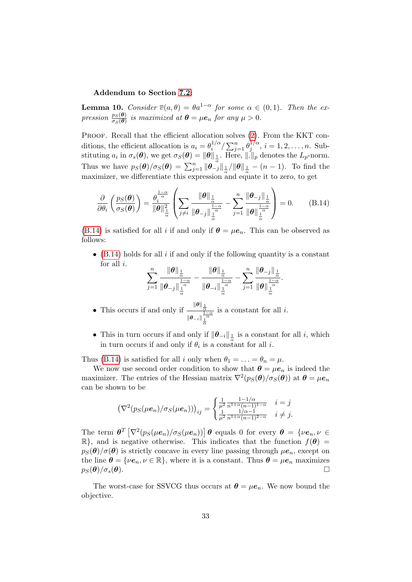# Addendum to Section [7.2:](#page-18-2)

**Lemma 10.** Consider  $\overline{v}(a, \theta) = \theta a^{1-\alpha}$  for some  $\alpha \in (0, 1)$ . Then the expression  $\frac{p_S(\theta)}{\sigma_S(\theta)}$  is maximized at  $\theta = \mu e_n$  for any  $\mu > 0$ .

PROOF. Recall that the efficient allocation solves [\(2\)](#page-4-2). From the KKT conditions, the efficient allocation is  $a_i = \theta_i^{1/\alpha}$  $\int_i^{1/\alpha} / \sum_{j=1}^n \theta_j^{1/\alpha}$  $j^{1/\alpha}, i = 1, 2, \ldots, n$ . Substituting  $a_i$  in  $\sigma_s(\theta)$ , we get  $\sigma_s(\theta) = \|\theta\|_{\frac{1}{\alpha}}$ . Here,  $\|.\|_p$  denotes the  $L_p$ -norm. Thus we have  $p_S(\theta)/\sigma_S(\theta) = \sum_{j=1}^n \|\theta_{-j}\|_{\frac{1}{\alpha}} / \|\theta\|_{\frac{1}{\alpha}} - (n-1)$ . To find the maximizer, we differentiate this expression and equate it to zero, to get

$$
\frac{\partial}{\partial \theta_i} \left( \frac{p_S(\boldsymbol{\theta})}{\sigma_S(\boldsymbol{\theta})} \right) = \frac{\theta_i^{\frac{1-\alpha}{\alpha}}}{\|\boldsymbol{\theta}\|_{\frac{1}{\alpha}}^2} \left( \sum_{j \neq i} \frac{\|\boldsymbol{\theta}\|_{\frac{1}{\alpha}}}{\|\boldsymbol{\theta}_{-j}\|_{\frac{1}{\alpha}}^{\frac{1-\alpha}{\alpha}}} - \sum_{j=1}^n \frac{\|\boldsymbol{\theta}_{-j}\|_{\frac{1}{\alpha}}}{\|\boldsymbol{\theta}\|_{\frac{1}{\alpha}}^{\frac{1-\alpha}{\alpha}}} \right) = 0. \tag{B.14}
$$

[\(B.14\)](#page-32-0) is satisfied for all i if and only if  $\theta = \mu e_n$ . This can be observed as follows:

•  $(B.14)$  holds for all i if and only if the following quantity is a constant for all  $i$ .

<span id="page-32-0"></span>
$$
\sum_{j=1}^n\frac{\|\theta\|_{\frac{1}{\alpha}}}{\|\theta_{-j}\|_{\frac{1}{\alpha}}^{\frac{1-\alpha}{\alpha}}}-\frac{\|\theta\|_{\frac{1}{\alpha}}}{\|\theta_{-i}\|_{\frac{1}{\alpha}}^{\frac{1-\alpha}{\alpha}}}-\sum_{j=1}^n\frac{\|\theta_{-j}\|_{\frac{1}{\alpha}}}{\|\theta\|_{\frac{1}{\alpha}}^{\frac{1-\alpha}{\alpha}}}.
$$

• This occurs if and only if  $\frac{\|\theta\|_{\frac{1}{\alpha}}}{\frac{1}{\alpha}}$  $\|\theta_{-i}\|_{\frac{1}{\alpha}}^{\frac{1-\alpha}{\alpha}}$ is a constant for all  $i$ .

• This in turn occurs if and only if  $\|\boldsymbol{\theta}_{-i}\|_{\frac{1}{\alpha}}$  is a constant for all i, which in turn occurs if and only if  $\theta_i$  is a constant for all *i*.

Thus [\(B.14\)](#page-32-0) is satisfied for all i only when  $\theta_1 = \ldots = \theta_n = \mu$ .

We now use second order condition to show that  $\theta = \mu e_n$  is indeed the maximizer. The entries of the Hessian matrix  $\nabla^2(p_S(\theta)/\sigma_S(\theta))$  at  $\theta = \mu e_n$ can be shown to be

$$
\left(\nabla^2(p_S(\mu e_n)/\sigma_S(\mu e_n))\right)_{ij} = \begin{cases} \frac{1}{\mu^2} \frac{1 - 1/\alpha}{n^{1 + \alpha}(n-1)^{1 - \alpha}} & i = j \\ \frac{1}{\mu^2} \frac{1/\alpha - 1}{n^{1 + \alpha}(n-1)^{2 - \alpha}} & i \neq j. \end{cases}
$$

The term  $\boldsymbol{\theta}^T\left[\nabla^2(p_S(\mu e_n)/\sigma_S(\mu e_n))\right]\boldsymbol{\theta}$  equals 0 for every  $\boldsymbol{\theta} = \{ \nu e_n, \nu \in$  $\mathbb{R}$ , and is negative otherwise. This indicates that the function  $f(\theta)$  =  $p_S(\theta)/\sigma(\theta)$  is strictly concave in every line passing through  $\mu e_n$ , except on the line  $\theta = {\nu e_n, \nu \in \mathbb{R}}$ , where it is a constant. Thus  $\theta = \mu e_n$  maximizes  $n_S(\theta)/\sigma_s(\theta)$ .  $p_S(\boldsymbol{\theta})/\sigma_s(\boldsymbol{\theta}).$ 

The worst-case for SSVCG thus occurs at  $\theta = \mu e_n$ . We now bound the objective.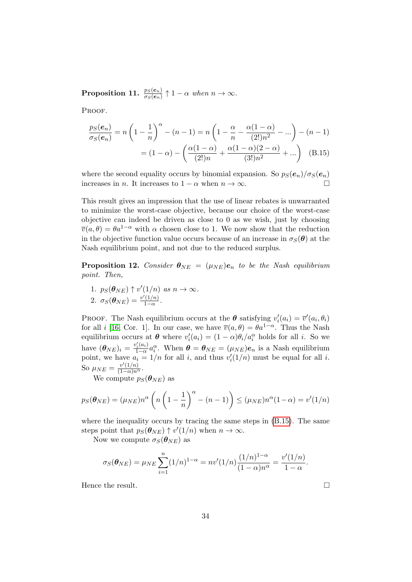Proposition 11.  $\frac{p_S(e_n)}{\sigma_S(e_n)}\uparrow 1-\alpha$  when  $n\to\infty$ .

PROOF.

<span id="page-33-0"></span>
$$
\frac{p_S(e_n)}{\sigma_S(e_n)} = n \left( 1 - \frac{1}{n} \right)^{\alpha} - (n - 1) = n \left( 1 - \frac{\alpha}{n} - \frac{\alpha (1 - \alpha)}{(2!) n^2} - \dots \right) - (n - 1)
$$

$$
= (1 - \alpha) - \left( \frac{\alpha (1 - \alpha)}{(2!) n} + \frac{\alpha (1 - \alpha)(2 - \alpha)}{(3!) n^2} + \dots \right) \quad (B.15)
$$

where the second equality occurs by binomial expansion. So  $p_S(e_n)/\sigma_S(e_n)$ increases in *n*. It increases to  $1 - \alpha$  when  $n \to \infty$ .

This result gives an impression that the use of linear rebates is unwarranted to minimize the worst-case objective, because our choice of the worst-case objective can indeed be driven as close to 0 as we wish, just by choosing  $\overline{v}(a, \theta) = \theta a^{1-\alpha}$  with  $\alpha$  chosen close to 1. We now show that the reduction in the objective function value occurs because of an increase in  $\sigma_{\mathcal{S}}(\boldsymbol{\theta})$  at the Nash equilibrium point, and not due to the reduced surplus.

<span id="page-33-1"></span>**Proposition 12.** Consider  $\theta_{NE} = (\mu_{NE})e_n$  to be the Nash equilibrium point. Then,

1.  $p_S(\boldsymbol{\theta}_{NE}) \uparrow v'(1/n)$  as  $n \to \infty$ . 2.  $\sigma_S(\boldsymbol{\theta}_{NE}) = \frac{v'(1/n)}{1-\alpha}$  $\frac{(1/n)}{1-\alpha}$ .

PROOF. The Nash equilibrium occurs at the  $\theta$  satisfying  $v_i'(a_i) = \overline{v}'(a_i, \theta_i)$ for all i [\[16,](#page-29-1) Cor. 1]. In our case, we have  $\overline{v}(a, \theta) = \theta a^{1-\alpha}$ . Thus the Nash equilibrium occurs at  $\theta$  where  $v_i'(a_i) = (1 - \alpha)\theta_i/a_i^{\alpha}$  holds for all *i*. So we have  $(\boldsymbol{\theta}_{NE})_i = \frac{v_i'(a_i)}{1-\alpha}$  $\frac{\partial f_i(a_i)}{\partial \theta_a} a_i^{\alpha}$ . When  $\boldsymbol{\theta} = \boldsymbol{\theta}_{NE} = (\mu_{NE}) \boldsymbol{e}_n$  is a Nash equilibrium point, we have  $a_i = 1/n$  for all i, and thus  $v_i'(1/n)$  must be equal for all i. So  $\mu_{NE} = \frac{v'(1/n)}{(1-\alpha)n^{\alpha}}$ .

We compute  $p_S(\boldsymbol{\theta}_{NE})$  as

$$
p_S(\boldsymbol{\theta}_{NE}) = (\mu_{NE}) n^{\alpha} \left( n \left( 1 - \frac{1}{n} \right)^{\alpha} - (n - 1) \right) \le (\mu_{NE}) n^{\alpha} (1 - \alpha) = v'(1/n)
$$

where the inequality occurs by tracing the same steps in [\(B.15\)](#page-33-0). The same steps point that  $p_S(\theta_{NE}) \uparrow v'(1/n)$  when  $n \to \infty$ .

Now we compute  $\sigma_S(\boldsymbol{\theta}_{NE})$  as

$$
\sigma_S(\boldsymbol{\theta}_{NE}) = \mu_{NE} \sum_{i=1}^n (1/n)^{1-\alpha} = n v'(1/n) \frac{(1/n)^{1-\alpha}}{(1-\alpha)n^{\alpha}} = \frac{v'(1/n)}{1-\alpha}.
$$

Hence the result.